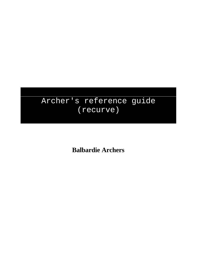# Archer's reference guide (recurve)

**Balbardie Archers**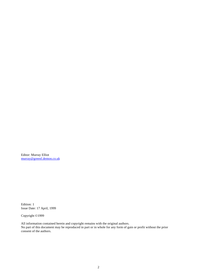Editor: Murray Elliot murray@greenf.demon.co.uk

Edition: 1 Issue Date: 17 April, 1999

#### Copyright ©1999

All information contained herein and copyright remains with the original authors. No part of this document may be reproduced in part or in whole for any form of gain or profit without the prior consent of the authors.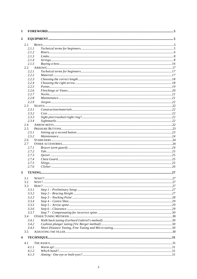| 1                |                      |           |     |
|------------------|----------------------|-----------|-----|
| $\boldsymbol{2}$ |                      |           |     |
|                  | 2.1                  |           |     |
|                  | 2.1.1                |           |     |
|                  | 2.1.2                |           |     |
|                  | 2.1.3                |           |     |
|                  | 2.1.4                |           |     |
|                  | 2.1.5                |           |     |
|                  | 2.2                  |           |     |
|                  | 2.2.1                |           |     |
|                  | 2.2.2<br>2.2.3       |           |     |
|                  | 2.2.4                |           |     |
|                  | 2.2.5                |           |     |
|                  | 2.2.6                |           |     |
|                  | 2.2.7                |           |     |
|                  | 2.2.8                |           |     |
|                  | 2.2.9                |           |     |
|                  | 2.3                  |           |     |
|                  | 2.3.1                |           |     |
|                  | 2.3.2                | Cost 1222 |     |
|                  | 2.3.3                |           |     |
|                  | 2.3.4                |           |     |
|                  | 2.4<br>$2.5^{\circ}$ |           |     |
|                  | 2.5.1                |           |     |
|                  | 2.5.2                |           |     |
|                  | 2.6                  |           |     |
|                  | 2.7                  |           |     |
|                  | 2.7.1                |           |     |
|                  | 2.7.2                |           |     |
|                  | 2.7.3                |           |     |
|                  | 2.7.4                |           |     |
|                  | 2.7.5                |           |     |
|                  | 2.7.6                |           |     |
| 3                |                      |           |     |
|                  | 3.1                  | WHAT?     | .27 |
|                  | 3.2                  |           |     |
|                  | 3.3                  |           |     |
|                  | 3.3.1                |           |     |
|                  | 3.3.2<br>3.3.3       |           |     |
|                  | 3.3.4                |           |     |
|                  | 3.3.5                |           |     |
|                  | 3.3.6                |           |     |
|                  | 3.3.7                |           |     |
|                  | 3.4                  |           |     |
|                  | 3.4.1                |           |     |
|                  | 3.4.2                |           |     |
|                  | 3.4.3                |           |     |
|                  | 3.5                  |           |     |
| 4                |                      |           |     |
|                  | 4.1                  |           |     |
|                  | 4.1.1                |           |     |
|                  | 4.1.2                |           |     |
|                  | 4.1.3                |           |     |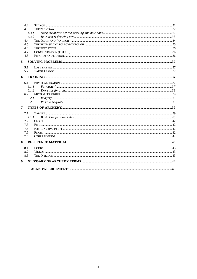|                | 4.2.  |  |
|----------------|-------|--|
|                | 4.3   |  |
|                | 4.3.1 |  |
|                | 4.3.2 |  |
|                | 4.4   |  |
|                | 4.5   |  |
|                | 4.6   |  |
|                | 4.7   |  |
|                | 4.8   |  |
| 5              |       |  |
|                | 5.1   |  |
|                | 5.2   |  |
| 6              |       |  |
|                | 6.1   |  |
|                | 6.1.1 |  |
|                | 6.1.2 |  |
|                | 6.2   |  |
|                | 6.2.1 |  |
|                | 6.2.2 |  |
| $\overline{7}$ |       |  |
|                | 7.1   |  |
|                | 7.1.1 |  |
|                | 7.2   |  |
|                | 7.3   |  |
|                | 7.4   |  |
|                | 7.5   |  |
|                | 7.6   |  |
| 8              |       |  |
|                | 8.1   |  |
|                | 8.2   |  |
|                | 8.3   |  |
| 9              |       |  |
| 10             |       |  |
|                |       |  |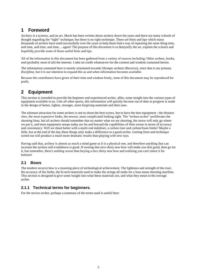## **1 Foreword**

Archery is a science, and an art. Much has been written about archery down the years and there are many schools of thought regarding the "right" technique, but there is no right technique. There are hints and tips which many thousands of archers have used successfully over the years to help them find a way of repeating the same thing time, and time, and time, and time.... again! The purpose of this document is to demystify the art, explain the science and hopefully provide some of those useful hints and tips.

All of the information in this document has been gathered from a variety of sources including: Other archers, books, and (probably most of all) the internet. I take no credit whatsoever for the content and wisdom contained herein.

The information contained here is mainly orientated towards Olympic archery (Recurve), since that is my primary discipline, but it is our intention to expand this as and when information becomes available.

Because the contributors have given of their time and wisdom freely, none of this document may be reproduced for profit.

## **2 Equipment**

This section is intended to provide the beginner and experienced archer, alike, some insight into the various types of equipment available to us. Like all other sports, this information will quickly become out of date as progress is made in the design of better, lighter, stronger, more forgiving materials and their uses.

The ultimate attraction for some archers is not to shoot the best scores, but to have the best equipment - the shiniest riser, the most expensive limbs, the newest, most complicated looking sight. The "techno-archer" proliferates the shooting lines, but all archers should remember that no matter what we are shooting, the arrow will only go where we put it, and most equipment setups today are far and beyond the capabilities of their owner in terms of accuracy and consistency. Will we shoot better with a multi-rod stabiliser, a carbon riser and carbon/foam limbs? Maybe a little, but at the end of the day these things only make a difference to a good archer. Getting form and technique sorted out will produce a much more dramatic results than playing with new toys.

Having said that, archery is almost as much a mind game as it is a physical one, and therefore anything that can increase the archers self-confidence is good. If owning that nice shiny new bow will make you feel good, then go for it, but remember, there's nothing worse than buying a nice shiny new bow and realising you can't shoot it for buttons!

## **2.1 Bows**

The modern recurve bow is a stunning piece of technological achievement. The lightness and strength of the riser, the accuracy of the limbs, the hi-tech materials used to make the strings all make for a lean-mean shooting machine. This section is designed to give some insight into what these materials are, and what they mean to the average archer.

### **2.1.1 Technical terms for beginners.**

For the novice archer, perhaps a summary of the terms used is useful here: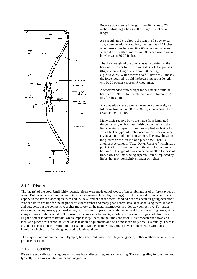

THE BASIC RECURVE BOW

Recurve bows range in length from 48 inches to 70 inches. Most target bows will average 66 inches in length.

As a rough guide to choose the length of a bow to suit you, a person with a draw length of less than 28 inches would use a bow between 62 - 66 inches and a person with a draw length of more than 28 inches would use a bow between 66-70 inches.

The draw weight of the bow is usually written on the back of the lower limb. The weight is noted in pounds (lbs) at a draw length of 710mm (28 inches), e.g. #20 @ 28. Which means at a full draw of 28 inches the force required to hold the bowstring at this length will be 20 pounds (approx. 9 kilograms).

A recommended draw weight for beginners would be between 15-20 lbs. for the children and between 20-25 lbs. for the adults.

At competitive level, women average a draw weight at full draw from about 28 lbs - 38 lbs, men average from about 35 lbs - 45 lbs.

Many basic recurve bows are made from laminated timber usually with a clear finish on the riser and the limbs having a layer of fibreglass applied each side for strength. The types of timber used in the riser can vary, giving a multi-coloured appearance. The bow shown in the picture on the left is a one-piece bow. There is another type called a "Take-Down Recurve" which has a pocket at the top and bottom of the riser for the limbs to bolt into. This type of bow can be dismantled for ease of transport. The limbs, being separate, can be replaced by limbs that may be slightly stronger or lighter

#### **2.1.2 Risers**

The "heart" of the bow. Until fairly recently, risers were made out of wood, often combinations of different types of wood. But the advent of modern materials (carbon arrows, Fast Flight strings) meant that wooden risers could not cope with the strain placed upon them and the development of the metal-handled riser has been on-going ever since. Wooden risers are fine for the beginner or leisure archer and many good scores have been shot using them, indoors and outdoors, but the competitive archer must look at the metal alternatives in order stay competitive. For target shooting at the top levels, you need enough arrow speed to give good sight marks, and little or no string creep, since many arrows are shot each day. This usually means using lightweight carbon arrows and strings made from Fast Flight or other modern materials, which impose large loads on the limbs and riser. Most wooden riser bows and most one-piece bows cannot take the loads from this equipment, and will almost certainly break eventually. There is also the issue of climactic variation, for example, wooden handle bows might have problems with variations in humidity which can affect the glues used to laminate them.

The majority of modern recurve (Olympic) bows are CNC machined. In years gone by, other methods were used to produce the riser:

#### 2.1.2.1 Casting

Risers are typically cast using one of two methods: die-casting, and sand-casting. The casting alloy for both methods typically uses a mix of aluminium and magnesium.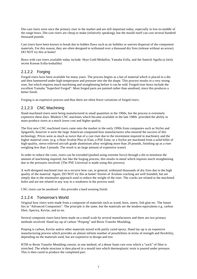Die-cast risers were once the primary riser in the market and are still important today, especially in low-to-middle of the range bows. Die-cast risers are cheap to make (relatively speaking), but the mould itself can cost several hundred thousand pounds.

Cast risers have been known to break due to hidden flaws such as air bubbles or uneven dispersal of the component materials. For this reason, they are often designed to withstand over a thousand dry fires (release without an arrow). DO NOT try this at home!

Bows with cast risers available today include: Hoyt Gold Medallist, Yamaha Eolla, and the Samick Agulla (a fairly recent Korean Eolla-lookalike)

## 2.1.2.2 Forging

Forged risers have been available for many years. The process begins as a bar of material which is placed in a die and then hammered under high temperature and pressure into the die shape. This process results in a very strong riser, but which requires much machining and straightening before it can be sold. Forged-riser bows include the excellent Yamaha "Superfeel Forged". Most forged parts are painted rather than anodised, since this produces a better finish.

Forging is an expensive process and thus there are often fewer variations of forged risers.

## 2.1.2.3 CNC Machining

Hand-machined risers were being manufactured in small quantities in the 1960s, but the process is extremely expensive these days. Modern CNC machines which became available in the late 1980s provided the ability to mass-produce risers at a much lower cost and higher quality.

The first new CNC machined risers came onto the market in the early 1990s from companies such as Stylist and Spigarelli, however it were the large American compound bow manufacturers who ensured the success of this technology. Prices were as much as twice that of a cast riser due to the investment required in machinery and the higher material costs. (e.g. a Hoyt Avalon Plus or Elan, a PSE Zone, or a Stylist are machined from a solid billet of high-quality, stress-relieved aircraft grade aluminium alloy weighing more than 20 pounds, finishing up as a riser weighing less than 3 pounds. The result is an large amount of expensive waste)

In order to reduce the costs, risers can be extruded (pushed using extreme force) through a die to minimise the amount of machining required, but like the forging process, this results in metal which requires much straightening due to the pressures involved. (The PSE Universal is made using this process).

A well-designed machined riser on a recurve bow can, in general, withstand thousands of dry fires due to the high quality of the material. Again, DO NOT try this at home! Stories of Avalons cracking are well founded, but are simply due to the minimalist approach used to reduce the weight of the riser. The cracks are related to the machined holes and are not related in any way to a weakness in the process used.

CNC risers can be anodised – this provides a hard wearing finish.

### 2.1.2.4 Tomorrow's World

Original bow risers were made from a composite of materials such as wood, horn, sinew, fish glue etc. The future lies in "Advanced Composites". The principle is the same, but the materials are the modern equivalents e.g. carbon fibre, Spectra, Kevlar, and so on.

Several composite risers have been made on a small scale by several manufacturers and there are two primary methods involved: Hand lay-up of carbon "Prepreg" and Resin Transfer Moulding.

Prepreg is carbon, Kevlar and/or other materials mixed with partly cured epoxy. Hand lay-up is an expensive manufacturing process which provides an almost infinite number of possibilities in terms of strength and flexibility, depending on the materials used, but are expensive to design and test.

RTM or Resin Transfer Moulding consist, in one method, of a dense foam core over which a "sock" of fibre is stretched. The whole structure is then placed in a mould into which thermoplastic resin is poured under pressure. This is then cured to produce the completed part.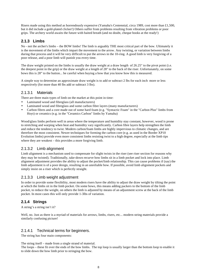Risers made using this method as horrendously expensive (Yamaha's Centennial, circa 1989, cost more than £1,500, but it did include a gold-plated clicker!) Others suffer from problems resulting from vibration problems or poor grips. The archery world awaits the future with baited breath (and no doubt, cheque books at the ready!)

## **2.1.3 Limbs**

No - not the archer's limbs – the BOW limbs! The limb is arguably THE most critical part of the bow. Ultimately it is the movement of the limbs which impart the movement to the arrow. Any twisting, or variation between limbs during that process and it will be very difficult to put the arrows in the 10-ring. A good limb is very forgiving of a poor release, and a poor limb will punish you every time.

The draw weight printed on the limbs is usually the draw weight at a draw length of 26.25" to the pivot point (i.e. the deepest point in the grip) or the draw weight at a length of 28" to the back of the riser. Unfortunately, on some bows this is 28" to the button... be careful when buying a bow that you know how this is measured.

A simple way to determine an approximate draw weight is to add or subtract 2 lbs for each inch more or less respectively (for more than 40 lbs add or subtract 3 lbs).

#### 2.1.3.1 Materials

There are three main types of limb on the market at this point in time:

- Laminated wood and fibreglass (all manufacturers)
- Laminated wood and fibreglass and some carbon fibre layers (many manufacturers)
- Carbon fibres and a core made out of some hard foam (e.g. "Syntactic Foam" in the "Carbon Plus" limbs from Hoyt) or ceramics (e.g. in the "Ceramics Carbon" limbs by Yamaha)

Wood/glass limbs perform well in areas where the temperature and humidity stay constant, however, wood is prone to stretching and warping when heat and humidity vary significantly. Carbon fibre layers help strengthen the limb and reduce the tendency to twist. Modern carbon/foam limbs are highly impervious to climatic changes, and are therefore the most consistent. Newer techniques for forming the carbon core (e.g. as used in the Border XP10 Evolution limbs) provide even more consistent limbs resisting twist to a high degree, especially at the limb tips where they are weakest – this provides a more forgiving limb.

### 2.1.3.2 Limb alignment

Limb alignment is a mechanism used to compensate for slight twists in the riser (see riser section for reasons why they may be twisted). Traditionally, take-down recurve bow limbs sit in a limb pocket and lock into place. Limb alignment adjustment provides the ability to adjust the pocket/limb relationship. This can cause problems if (say) the limb adjustment is of a poor design, resulting in an unreliable bow. If possible, avoid limb alignment pockets and simply insist on a riser which is perfectly straight.

### 2.1.3.3 Limb weight adjustment

In order to provide some flexibility, most modern risers have the ability to adjust the draw weight by tilting the point at which the limbs sit in the limb pocket. On some bows, this means adding packers to the bottom of the limb pocket, to reduce the weight, on others the limb is adjusted by means of an adjustment screw at the back of the limb pocket. In most cases this will only provide 1-3lbs of variation.

### **2.1.4 Strings**

A string's a string isn't it?

Well, no. Just as there is a myriad of materials for arrows, limbs, risers, etc... modern string materials provide a similarly confusing picture!

### 2.1.4.1 Technical terms for beginners.

The string has four main components:

The string itself – made from a single strand of material.

The loops – these fit over the ends of the bow limbs. The top loop is usually larger than the bottom loop to enable it to slide down the bow limb prior to stringing the bow.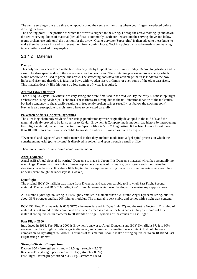The centre serving – the extra thread wrapped around the centre of the string where your fingers are placed before drawing the bow.

The nocking point – the position at which the arrow is clipped to the string. To stop the arrow moving up and down the centre serving, loops of material (dental floss is commonly used) are tied around the serving above and below (some archers use only one) the position for the arrow. Cyano-acrylate (Super-glue) is then added to these knots to make them hard-wearing and to prevent them from coming loose. Nocking points can also be made from masking tape, similarly soaked in super-glue.

#### 2.1.4.2 Materials

#### **Dacron**

This polyester was developed in the late 50s/early 60s by Dupont and is still in use today. Dacron long-lasting and is slow. The slow speed is due to the excessive stretch on each shot. The stretching process removes energy which would otherwise be used to propel the arrow. The stretching does have the advantage that it is kinder to the bow limbs and riser and therefore is ideal for bows with wooden risers or limbs, or even some of the older cast risers. This material doesn't like friction, so a low number of twists is required.

#### **Aramid Fibres (Kevlar)**

These "Liquid Crystal Polymers" are very strong and were first used in the mid 70s. By the early 80s most top target archers were using Kevlar (or Technora). These fibres are strong due to the uni-directional nature of the molecules, but had a tendency to shear easily resulting in frequently broken strings (usually just below the nocking point). Kevlar is also susceptible to moisture so have to be waxed carefully.

#### **Polyethelene fibres (Spectra/Dyneema)**

The ultra long chain polyethylene fibre strings popular today were originally developed in the mid 80s and the material quickly proved to be far superior to Kevlar. Brownell & Company made modern-day history by introducing Fast Flight material, made from Spectra fibre. Spectra fibre is VERY long lasting. It has been known to last more than 100,000 shots and is not susceptible to moisture and can be twisted as much as required.

"Dyneema" and "Spectra" are similar material in that they are both made from a "gel-spin" process, in which the constituent material (polyethylene) is dissolved in solvent and spun through a small orifice.

There are a number of new brand names on the market:

#### **Angel Dyneema**

Angel ASB (Angel Special Bowstring) Dyneema is made in Japan. It is Dyneema material which has essentially no wax. Angel Dyneema is the choice of many top archers because of its quality, consistency and smooth-feeling shooting characteristics. It is also a little lighter than an equivalent string made from other materials because it has no wax (even though the label says it is waxed).

#### **Dynaflight**

The original BCY Dynaflight was made from Dyneema and was comparable to Brownell Fast Flight Spectra material. The current BCY "Dynaflight 97" from Dyneema which was developed for marine rope applications.

A 14 strand Dynaflight 97 string is just slightly smaller in diameter than a 20 strand Angel Dyneema string, but it is about 33% stronger and has 20% higher modulus. The material is very stable and comes with a light wax content.

BCY 450 Plus. This material is 66% SK75 (the material used in Dynaflight 97) and the rest is Vectran. This kind of material is best suited for the compound bow, where creep is an issue for buss cables. Only 12 strands of this material are equivalent in diameter to 20 strands of Angel Dyneema or 18 strands of Fast Flight.

#### **Fast Flight 2000**

Introduced in 1998, Fast Flight 2000 is Brownell's answer to Angel Dyneema and BCY Dynaflight 97. It is 30% stronger than Fast Flight, a little larger in diameter, and comes with a medium wax content. It should be very comparable to Dynaflight 97. About 14 strands of this material should make a string equivalent to an 18 strand Fast Flight string diameter.

#### **Strength/Stretch Comparison**

Dacron B50 - (strength per strand =  $22.5$  kg., stretch =  $2.6\%$ ) Kevlar 7-11 - (strength per strand =  $31.8 \text{ kg}$ , stretch =  $0.8\%$ ) Fast Flight - (strength per strand =  $45.5$  kg., stretch =  $1.0\%$ )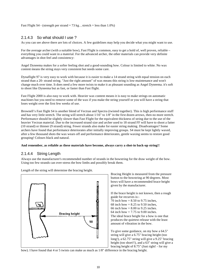Fast Flight S4 - (strength per strand  $= 73$  kg., stretch  $=$  less than 1.0%)

#### 2.1.4.3 So what should I use ?

As you can see above there are lots of choices. A few guidelines may help you decide what you might want to use.

For the average archer (with a suitable bow), Fast Flight is common, easy to get a hold of, well proven, reliable – everything you could want in a material. For the advanced archer, the other materials can provide very definite advantages in shot feel and consistency:

Angel Dyneema makes for a softer feeling shot and a good-sounding bow. Colour is limited to white. No wax content means the string stays very consistent but needs some care.

Dynaflight 97 is very easy to work with because it is easier to make a 14 strand string with equal tension on each strand than a 20- strand string. "Just the right amount" of wax means this string is low-maintenance and won't change much over time. It does need a few more twists to make it as pleasant sounding as Angel Dyneema. it's soft to shoot like Dyneema but as fast, or faster than Fast flight.

Fast Flight 2000 is also easy to work with. Heavier wax content means it is easy to make strings on automatic machines but you need to remove some of the wax if you make the string yourself or you will have a string that loses weight over the first few weeks of use.

Brownell's Fast flight S4 is another blend of Vectran and Spectra (twisted together). This is high performance stuff and has very little stretch. The string will stretch about 1/16" to 1/8" in the first dozen arrows, then no more stretch. Performance should be slightly slower than Fast Flight for the equivalent thickness of string due to the use of the heavier Vectran material. Due to the increased strand size and archer used to 18 strand FF will have to shoot a fatter (10 strand) or thinner (9 strand) string. Fewer strands also make for easier string making. Disadvantages? Some archers have found that performance deteriorates after initially improving groups. S4 must be kept lightly waxed, after a few thousand shots the wax wears off and performance deteriorates, gentle waxing seems to restore good grouping! Colours black and natural.

**And remember, as reliable as these materials have become, always carry a shot-in back-up string!!**

### 2.1.4.4 String Length

Always use the manufacturer's recommended number of strands in the bowstring for the draw weight of the bow. Using too few strands can over-stress the bow limbs and possibly break them.



Length of the string will determine the bracing height.

Bracing Height is measured from the pressure button to the bowstring at 90 degrees. Most bows will have a recommended brace height given by the manufacturer.

If the brace height is not known, then a rough guide for recurves is:- 70 inch bow = 8.50 to 9.75 inches, 68 inch bow  $= 8.25$  to 9.50 inches. 66 inch bow  $= 8.00$  to 9.25 inches. 64 inch bow  $= 7.75$  to 9.00 inches. The ideal brace height for a bow is one that produces the quietest release with the least

amount of vibration in the bow.

To give some guidance, on my bow a 64.5" string will give a 6.75" bracing height (too long!), a 62.75" string will give a 9.25" bracing height (too short!!), and a 63" string will give a bracing height of 8.75" (Just right! - for my

bow). I have found that 4 or 5 twists can make as much as 1/8" difference in the bracing height.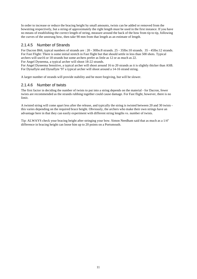In order to increase or reduce the bracing height by small amounts, twists can be added or removed from the bowstring respectively, but a string of approximately the right length must be used in the first instance. If you have no means of establishing the correct length of string, measure around the back of the bow from tip to tip, following the curves of the unstrung bow, then take 90 mm from that length as an estimate of length.

## 2.1.4.5 Number of Strands

For Dacron B66, typical numbers of strands are : 20 - 30lbs:8 strands. 25 - 35lbs:10 strands. 35 - 45lbs:12 strands. For Fast Flight: There is some initial stretch in Fast flight but that should settle in less than 500 shots. Typical archers will use16 or 18 strands but some archers prefer as little as 12 or as much as 22. For Angel Dyneema, a typical archer will shoot 18-22 strands.

For Angel Dyneema Sensitive, a typical archer will shoot around 16 to 20 strands as it is slightly thicker than ASB. For Dynaflyte and Dynaflyte '97 a typical archer will shoot around a 14-16 strand string.

A larger number of strands will provide stability and be more forgiving, but will be slower.

## 2.1.4.6 Number of twists

The first factor in deciding the number of twists to put into a string depends on the material - for Dacron, fewer twists are recommended as the strands rubbing together could cause damage. For Fast flight, however, there is no limit.

A twisted string will come apart less after the release, and typically the string is twisted between 20 and 30 twists this varies depending on the required brace height. Obviously, the archers who make their own strings have an advantage here in that they can easily experiment with different string lengths vs. number of twists.

Tip: ALWAYS check your bracing height after stringing your bow. Simon Needham said that as much as a 1/4" difference in bracing height can loose him up to 20 points on a Portsmouth.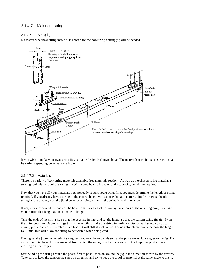#### 2.1.4.7 Making a string

#### 2.1.4.7.1 String jig

No matter what bow string material is chosen for the bowstring a string jig will be needed



If you wish to make your own string jig a suitable design is shown above. The materials used in its construction can be varied depending on what is available.

#### 2.1.4.7.2 Materials

There is a variety of bow string materials available (see materials section). As well as the chosen string material a serving tool with a spool of serving material, some bow string wax, and a tube of glue will be required.

Now that you have all your materials you are ready to start your string. First you must determine the length of string required. If you already have a string of the correct length you can use that as a pattern, simply un-twist the old string before placing it on the jig, then adjust sliding arm until the string is held in tension.

If not, measure around the back of the bow from nock to nock following the curves of the unstrung bow, then take 90 mm from that length as an estimate of length.

Turn the ends of the string jig so that the pegs are in line, and set the length so that the pattern string fits tightly on the outer pegs. For Dacron strings this is the length to make the string to, ordinary Dacron will stretch by up to 20mm, pre-stretched will stretch much less but will still stretch in use. For non stretch materials increase the length by 10mm, this will allow the string to be twisted when completed.

Having set the jig to the length of string required turn the two ends so that the posts are at right angles to the jig. Tie a small loop in the end of the material from which the string is to be made and slip the loop over post 2. (see drawing on next page)

Start winding the string around the posts, first to post 1 then on around the jig in the direction shown by the arrows. Take care to keep the tension the same on all turns, and try to keep the spool of material at the same angle to the jig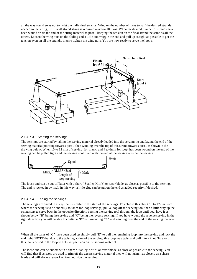all the way round so as not to twist the individual strands. Wind on the number of turns to half the desired strands needed in the string, i.e. if a 20 strand string is required wind on 10 turns. When the desired number of strands have been wound on tie the end of the string material to post1, keeping the tension on the final strand the same as all the others. Loosen the wing nuts on the sliding end a little and waggle the end and pull up as tight as possible to get the tension even on all the strands, then re tighten the wing nuts. You are now ready to serve the loops.



#### 2.1.4.7.3 Starting the servings

The servings are started by taking the serving material already loaded into the serving jig and laying the end of the serving material pointing towards post 1 then winding over the top of this strand towards post1 as shown in the drawing below. When 10 to 12 mm of serving for shank, and 4 to 6mm for loop, has been wound on the end of the serving can be pulled tight and the serving continued with the end of the serving outside the serving.



The loose end can be cut off later with a sharp "Stanley Knife" or razor blade as close as possible to the serving. The end is locked in by itself in this way, a little glue can be put on the end as added security if desired.

#### 2.1.4.7.4 Ending the servings

The servings are ended in a way that is similar to the start of the servings. To achieve this about 10 to 12mm from where the serving is to be ended (4 to 6mm for loop servings) pull a loop off the serving tool then a little way up the string start to serve back in the opposite direction, passing the serving tool through the loop until you have it as shown below "B" being the serving and "C" being the reverse serving. If you have wound the reverse serving in the right direction you will be able to continue "B" by unwinding "C" and winding over the end of the serving material E.

When all the turns of "C" have been used up simply pull "E" to pull the remaining loop into the serving and lock the end tight. **NOTE** that due to the twisting action of the serving, this loop may twist and pull into a knot. To avoid this, put a pencil in the loop to help keep tension on the serving material.

The loose end can be cut off with a sharp "Stanley Knife" or razor blade as close as possible to the serving. You will find that if scissors are used to trim off the excess serving material they will not trim it as closely as a sharp blade and will always leave 1 or 2mm outside the serving.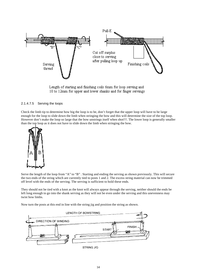

Length of starting and finishing coils 6mm for loop serving and 10 to 12mm for upper and lower shanks and for finger servings

#### 2.1.4.7.5 Serving the loops

Check the limb tip to determine how big the loop is to be, don't forget that the upper loop will have to be large enough for the loop to slide down the limb when stringing the bow and this will determine the size of the top loop. However don't make the loop so large that the bow unstrings itself when shot!!!. The lower loop is generally smaller than the top loop as it does not have to slide down the limb when stringing the bow.



Serve the length of the loop from "A" to "B" . Starting and ending the serving as shown previously. This will secure the two ends of the string which are currently tied to posts 1 and 2. The excess string material can now be trimmed off level with the ends of the serving. The serving is sufficient to hold these ends.

They should not be tied with a knot as the knot will always appear through the serving, neither should the ends be left long enough to go into the shank serving as they will not be even under the serving and this unevenness may twist bow limbs.

Now turn the posts at this end in line with the string jig and position the string as shown.



**STRING JIG**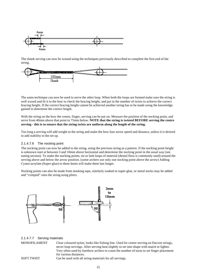

The shank serving can now be wound using the techniques previously described to complete the first end of the string.



The same technique can now be used to serve the other loop. When both the loops are formed make sure the string is well waxed and fit it to the bow to check the bracing height, and put in the number of twists to achieve the correct bracing height. If the correct bracing height cannot be achieved another string has to be made using the knowledge gained to determine the correct length.

With the string on the bow the centre, finger, serving can be put on. Measure the position of the nocking point, and serve from 40mm above that point to 75mm below. **NOTE that the string is twisted BEFORE serving the centre serving - this is to ensure that the string twists are uniform along the length of the string.**

Too long a serving will add weight to the string and make the bow lose arrow speed and distance, unless it is desired to add stability to the set up.

#### 2.1.4.7.6 The nocking point

The nocking point can now be added to the string, using the previous string as a pattern. If the nocking point height is unknown start at between 3 and 10mm above horizontal and determine the nocking point in the usual way (see tuning section). To make the nocking points, tie or lash loops of material (dental floss is commonly used) around the serving above and below the arrow position. (some archers use only one nocking point above the arrow) Adding Cyano-acrylate (Super-glue) to these knots will make them last longer.

Nocking points can also be made from masking tape, similarly soaked in super-glue, or metal nocks may be added and "crimped" onto the string using pliers.



#### 2.1.4.7.7 Serving materials

MONOFILAMENT Clear coloured nylon, looks like fishing line. Used for centre serving on Dacron strings, never loop servings. After serving heat slightly to set into shape with match or lighter. Very often used by barebow archers to count the number of turns to set finger placement for various distances.

SOFT TWIST Can be used with all string materials for all servings.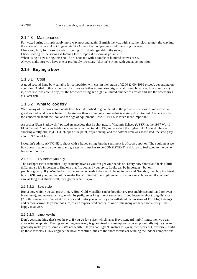ANGEL Very expensive, said never to wear out.

#### 2.1.4.8 Maintenance

For waxed strings, simply apply more wax now and again. Burnish the wax with a leather cloth to melt the wax into the material. Be careful not to generate TOO much heat, or you may melt the string material.

Check regularly for loose strands or fraying. If in doubt, get rid of the string.

Check serving. If the serving is looking loose, repair it as soon as possible.

When using a new string, this should be "shot-in" with a couple of hundred arrows or so.

Always make sure you have one or preferably two spare "shot-in" strings with you at competition.

### **2.1.5 Buying a bow**

#### 2.1.5.1 Cost

A good second-hand bow suitable for competition will cost in the region of £200-£400 (1999 prices), depending on condition. Added to this is the cost of arrows and other accessories (sights, stabilisers, bow case, bow stand, etc.). It is, of course, possible to buy just the bow with string and sight, a limited number of arrows and add the accessories at a later date.

#### 2.1.5.2 What to look for?

Well, many of the bow components have been described in great detail in the previous sections. In most cases a good second hand bow is better for beginners than a brand new bow – this is mainly down to cost. Archers are far too concerned about the look and the age of equipment. How it FEELS is much more important.

An archer (Stan Siatkowski ) posted an anecdote that he shot next to Vladimir Esheev (USSR) at the 1987 World FITA Target Champs in Adelaide when he won the Grand FITA, and also had the highest FITA round. He was shooting a ratty old Hoyt TD3, chipped blue paint, frayed string, and the bottom limb was so twisted, the string lay about 1/4" out of line.

I wouldn't advise ANYONE to shoot with a frayed string, but the sentiment is of course spot on. The equipment we buy doesn't have to be the latest and greatest – it just has to be CONSISTENT, and it has to feel good to the owner. No more, no less.

#### 2.1.5.2.1 Try before you buy

The catchphrase to remember! Try as many bows as you can get your hands on. Every bow shoots and feels a little different, so it's important to find one that fits you and your style. Looks can be important – but only psychologically. If you're the kind of person who needs to be seen to be up to date and "trendy", then buy the latest bow... it'll cost you, but that old Yamaha Eolla or Stylist Star might never suit your needs, however, if you don't care as long as it shoots well, then go for what fits you.

#### 2.1.5.2.2 Bow style

Buy a bow which you can grow into. A Hoyt Gold Medallist can be bought very reasonably second-hand (or even brand new), and no one can argue with its pedigree or long line of successes. If you intend to shoot long distance (70-90m) make sure that what ever riser and limbs you get – they can withstand the pressure of Fast Flight strings and carbon arrows. If you're not sure, ask an experienced archer, or one of the many archery shops – they'll be happy to advise.

#### 2.1.5.2.3 Limb weight

Don't get something that's too heavy. If you go for a riser which takes Hoyt standard limb fittings, then you can always trade up later. Buying something too heavy is guaranteed to mess up your scores, potentially injure you and generally make you miserable – it's not worth it. If you can't get 90 metres this year, then work out, exercise – build up those muscles THEN upgrade the bow. Meantime, stick to the short Metrics or winning the indoor competitions!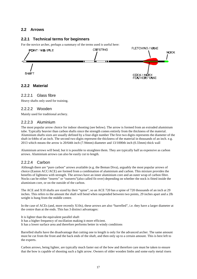## **2.2 Arrows**

#### **2.2.1 Technical terms for beginners**

For the novice archer, perhaps a summary of the terms used is useful here:



#### **2.2.2 Material**

#### 2.2.2.1 Glass fibre

Heavy shafts only used for training.

#### 2.2.2.2 Wooden

Mainly used for traditional archery.

#### 2.2.2.3 Aluminium

The most popular arrow choice for indoor shooting (see below). The arrow is formed from an extruded aluminium tube. Typically heavier than carbon shafts since the strength comes entirely from the thickness of the material. Aluminium shafts sizes are usually defined by a four-digit number The first two digits represents the diameter of the shaft in 64ths of an inch. The second two digits represent the thickness of the material in thousands of an inch. e.g. 2013 which means the arrow is 20/64th inch (7.94mm) diameter and 13/1000th inch (0.33mm) thick wall

Aluminium arrows will bend, but it is possible to straighten them. They are typically half as expensive as carbon arrows. Aluminium arrows can also be easily cut to length.

### 2.2.2.4 Carbon

Although there are "pure carbon" arrows available (e.g. the Beman Diva), arguably the most popular arrows of choice (Easton ACC/ACE) are formed from a combination of aluminium and carbon. This mixture provides the benefits of lightness with strength. The arrows have an inner aluminium core and an outer wrap of carbon fibre. Nocks can be either "inserts" or "outserts"(also called fit-over) depending on whether the nock is fitted inside the aluminium core, or on the outside of the carbon.

The ACE and X10 shafts are sized by their "spine", so an ACE 720 has a spine of 720 thousands of an inch at 29 inches. This refers to the amount the shaft will bend when suspended between two points, 29 inches apart and a 2lb weight is hung from the middle centre.

In the case of ACEs (and, more recently X10s), these arrows are also "barrelled", i.e. they have a larger diameter at the centre than at the ends. This has 3 distinct advantages:

It is lighter than the equivalent parallel shaft

It has a higher frequency of oscillation making it more efficient.

It has a lower surface area and therefore performs better in windy conditions

Barrelled shafts have the disadvantage that cutting one to length is only for the advanced archer. The same amount must be cut from the front and the back ends of the shaft, and then only up to a certain amount. This is best left to the experts.

Carbon arrows, being lighter, are typically much faster out of the bow and therefore care must be taken to ensure that the bow is capable of shooting such a light arrow. Owners of older wooden limbs and some early metal risers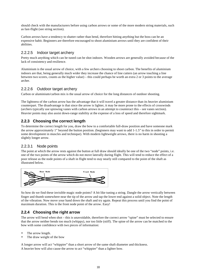should check with the manufacturers before using carbon arrows or some of the more modern string materials, such as fast-flight (see string section).

Carbon arrows have a tendency to shatter rather than bend, therefore hitting anything but the boss can be an expensive habit. Beginners are therefore encouraged to shoot aluminium arrows until they are confident of their abilities.

### 2.2.2.5 Indoor target archery

Pretty much anything which can be tuned can be shot indoors. Wooden arrows are generally avoided because of the lack of consistency and resilience.

Aluminium is the usual arrow of choice, with a few archers choosing to shoot carbon. The benefits of aluminium indoors are that, being generally much wider they increase the chance of line cutters (an arrow touching a line between two scores, counts as the higher value) – this could perhaps be worth an extra 2 or 3 points to the average archer.

## 2.2.2.6 Outdoor target archery

Carbon or aluminium/carbon mix is the usual arrow of choice for the long distances of outdoor shooting.

The lightness of the carbon arrow has the advantage that it will travel a greater distance than its heavier aluminium counterpart. The disadvantage is that since the arrow is lighter, it may be more prone to the effects of crosswinds (archers typically use spinwing vanes with carbon arrows in an attempt to counteract this – see vanes section). Heavier points may also assist down-range stability at the expense of a loss of speed and therefore sightmark.

## **2.2.3 Choosing the correct length**

To determine the correct length for you, draw the bow to a comfortable full-draw position and have someone mark the arrow approximately 1" beyond the button position. (beginners may want to add 1-1.5" to this in order to permit some development in muscles and technique). With modern lightweight arrows, there is no harm in shooting a slightly longer arrow.

### 2.2.3.1 Node points

The point at which the arrow rests against the button at full draw should ideally be one of the two "node" points, i.e. one of the two points of the arrow which do not move laterally during flight. This will tend to reduce the effect of a poor release as the node points of a shaft in flight tend to stay nearly still compared to the point of the shaft as illustrated below.



So how do we find these invisible magic node points? A bit like tuning a string. Dangle the arrow vertically between finger and thumb somewhere near the tip of the arrow and tap the lower end against a solid object. Note the length of the vibration. Now move your hand down the shaft and try again. Repeat this process until you find the point of maximum duration. This is the front node point of the arrow. Easy!

## **2.2.4 Choosing the right arrow**

The arrow will bend when shot – this is unavoidable, therefore the correct arrow "spine" must be selected to ensure that the arrow neither bends too much (whippy), nor too little (stiff). The spine of the arrow can be matched to the bow with some confidence with two pieces of information:

- The arrow length.
- The draw weight of the bow

A longer arrow will act "whippier" than a short arrow of the same shaft diameter and thickness. A heavier bow will also cause the arrow to act "whippier" than a lighter bow.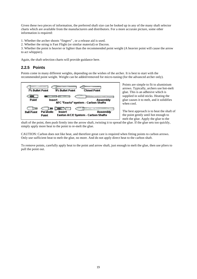Given these two pieces of information, the preferred shaft size can be looked up in any of the many shaft selector charts which are available from the manufacturers and distributors. For a more accurate picture, some other information is required:

1. Whether the archer shoots "fingers" , or a release aid is used.

2. Whether the string is Fast Flight (or similar material) or Dacron.

3. Whether the point is heavier or lighter than the recommended point weight (A heavier point will cause the arrow to act whippier).

Again, the shaft selection charts will provide guidance here.

## **2.2.5 Points**

Points come in many different weights, depending on the wishes of the archer. It is best to start with the recommended point weight. Weight can be added/removed for micro-tuning (for the advanced archer only).



Points are simple to fit to aluminium arrows. Typically, archers use hot-melt glue. This is an adhesive which is supplied in solid sticks. Heating the glue causes it to melt, and it solidifies when cool.

The best approach is to heat the shaft of the point gently until hot enough to melt the glue. Apply the glue to the

shaft of the point, then push firmly into the arrow shaft, twisting it to spread the glue. If the glue sets too quickly, simply apply more heat to the point to re-melt the glue.

CAUTION: Carbon does not like heat, and therefore great care is required when fitting points to carbon arrows. Only use sufficient heat to melt the glue, no more. And do not apply direct heat to the carbon shaft.

To remove points, carefully apply heat to the point and arrow shaft, just enough to melt the glue, then use pliers to pull the point out.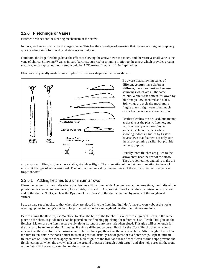## **2.2.6 Fletchings or Vanes**

Fletches or vanes are the steering mechanism of the arrow.

Indoors, archers typically use the largest vane. This has the advantage of ensuring that the arrow straightens up very quickly – important for the short distances shot indoors.

Outdoors, the large fletchings have the effect of slowing the arrow down too much, and therefore a small vane is the vane of choice. Spinwing™ vanes impart (surprise, surprise) a spinning motion to the arrow which provides greater stability, and a typical outdoor setup would be ACE arrows fitted with 1 3/4" spinwings.

Fletches are typically made from soft plastic in various shapes and sizes as shown.



Be aware that spinwing vanes of different **colours** have different **stiffness**, therefore most archers use spinwings which are all the same colour. White is the softest, followed by blue and yellow, then red and black. Spinwings are typically much more fragile than straight vanes, but much easier to change during competition.

Feather fletches can be used, but are not as durable as the plastic fletches, and perform poorly when wet. Some archers use large feathers when shooting indoors. Studies by Easton have shown that feathers not only start the arrow spinning earlier, but provide better grouping.

Usually three fletches are glued to the arrow shaft near the rear of the arrow. They are sometimes angled to make the

arrow spin as it flies, to give a more stable, straighter flight. The orientation of the fletches in relation to the nock must suit the type of arrow rest used. The bottom diagrams show the rear view of the arrow suitable for a recurve finger shooter.

#### 2.2.6.1 Adding fletches to aluminium arrows

Clean the rear end of the shafts where the fletches will be glued with 'Acetone' and at the same time, the shafts of the points can be cleaned to remove any loose oxide, oils or dirt. A spare set of nocks can then be twisted onto the rear end of the shafts. Nocks, such as the Bjorn nock, will 'stick' to the shafts rear end by means of the roughened surface.

I use a spare set of nocks, so that when they are placed into the fletching jig, I don't have to worry about the nocks opening up due to the jig's guides. The proper set of nocks can be glued on after the fletches are done.

Before gluing the fletches, use 'Acetone' to clean the base of the fletches. Take care to align each fletch in the same place on the shaft. A guide mark can be placed on the fletching jig clamp for reference. Use 'Fletch-Tite' glue on the fletches. Make sure the fletch rests evenly along its length onto the shaft when glued. This glue will set enough for the clamp to be removed after 3 minutes. If using a different coloured fletch for the 'Cock Fletch', then its a good idea to glue these on first when using a multiple fletching jig, then glue the others on later. After the glue has set on the first fletch, rotate the nock holder to its next position, usually 120 degrees for a 3 fletch setup. Repeat until all fletches are on. You can then apply an extra blob of glue to the front and rear of each fletch as this helps prevent the fletch tearing off when the arrow lands in the ground or passes through a soft target, and also helps prevent the front of the fletch lifting and so catching on the arrow rest.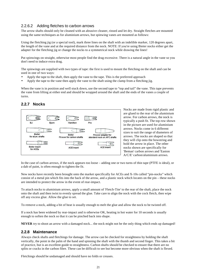#### 2.2.6.2 Adding fletches to carbon arrows

The arrow shafts should only be cleaned with an abrasive cleaner, rinsed and let dry. Straight fletches are mounted using the same techniques as for aluminium arrows, but spinwing vanes are mounted as follows:

Using the fletching jig (or a special tool), mark three lines on the shaft with an indelible marker, 120 degrees apart, the length of the vane and at the required distance from the nock. NOTE: If you're using Bieter nocks either get the adapter for the fletching jig or change the nocks to a symmetrical nock while drawing the lines!

Put spinwings on straight, otherwise most people find the drag excessive. There is a natural angle in the vane so you don't need to induce extra drag.

The spinwings are supplied with two types of tape: the first is used to mount the fletching on the shaft and can be used in one of two ways:

- Apply the tape to the shaft, then apply the vane to the tape. This is the preferred approach
- Apply the tape to the vane then apply the vane to the shaft using the clamp from a fletching jig.

When the vane is in position and well stuck down, use the second tape to "top and tail" the vane. This tape prevents the vane from lifting at either end and should be wrapped around the shaft and the ends of the vanes a couple of turns.

### **2.2.7 Nocks**



Nocks are made from rigid plastic and are glued to the rear of the aluminium arrow. For carbon arrows, the nock is typically a push fit. The top row shown in the picture are used for aluminium arrows. Nocks come in 6 different sizes to suit the range of diameters of arrows. The nocks are shaped so that they will clip onto the bowstring and hold the arrow in place. The other nocks shown are specifically for 'Beman' carbon arrows and 'Easton A/C/E' carbon/aluminium arrows.

In the case of carbon arrows, if the nock appears too loose – adding one or two turns of thin tape (PTFE is ideal), or a dab of paint, is often enough to tighten the fit.

New nocks have recently been brought onto the market specifically for ACEs and X-10s called "pin-nocks" which consist of a metal pin which fits into the back of the arrow, and a plastic nock which locates on the pin – these nocks are intended to protect the arrow in the event of rear-impact.

To attach nocks to aluminium arrows, apply a small amount of 'Fletch-Tite' to the rear of the shaft, place the nock onto the shaft and then twist to evenly spread the glue. Take care to align the nock with the cock fletch, then wipe off any excess glue. Allow the glue to set.

To remove a nock, adding a bit of heat is usually enough to melt the glue and allow the nock to be twisted off.

If a nock has been widened by rear-impact and is otherwise OK, heating in hot water for 10 seconds is usually enough to soften the nock so that it can be pinched back into shape.

**NEVER** try to shoot an arrow with a damaged nock... the nock might not be the only thing which ends up damaged!

#### **2.2.8 Maintenance**

Always check shafts and fletchings for damage. The arrow can be checked for straightness by holding the shaft vertically, the point in the palm of the hand and spinning the shaft with the thumb and second finger. This takes a bit of practice, but is an excellent guide to straightness. Carbon shafts should be checked to ensure that there are no splits or cracks in the carbon fibre. These can be difficult to see but become more obvious when the shaft is flexed.

Fletchings should be undamaged and should have no folds or creases.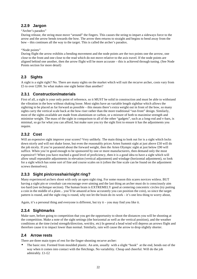## **2.2.9 Jargon**

#### "Archer's paradox"

During release, the string must move "around" the fingers. This causes the string to impart a sideways force to the arrow and the arrow bends towards the bow. The arrow then returns to straight and begins to bend away from the bow – this continues all the way to the target. This is called the archer's paradox.

#### "Node points"

During flight the arrow exhibits a bending movement and the node points are the two points one the arrrow, one close to the front and one close to the read which do not move relative to the axis travel. If the node points are aligned behind one another, then the arrow flight will be more accurate – this is achieved through tuning. (See Node Points section for more detail)

### **2.3 Sights**

A sight is a sight right? No. There are many sights on the market which will suit the recurve archer, costs vary from £5 to over £200. So what makes one sight better than another?

### **2.3.1 Construction/materials**

First of all, a sight is your only point of reference, so it MUST be solid in construction and must be able to withstand the vibration in the bow without shaking loose. Most sights have an variable length sightbar which allows the sightring to be placed as far forward as possible – this means there's extra weight out in front of the bow, so many sights carry the vertical scale back at the bow riser rather than the more traditional "out-front" design. Similarly, most of the sights available are made from aluminium or carbon, or a mixture of both to maximise strength and minimise weight. The mass of the sight in comparison to all of the other "gadgets", such as a long-rod and v-bars, is minimal, so go for what you can afford, but make sure you try the sight first to ensure it has the adjustments you require.

## **2.3.2 Cost**

Will an expensive sight improve your scores? Very unlikely. The main thing to look out for is a sight which locks down nicely and will not shake loose, but even the reasonably prices Arten Summit sight at just above £50 will do the job nicely. If you're paranoid about the forward weight, then the Arten Olympic sight at just below £90 will suffice. When you're good enough to be sponsored by one or more manufacturers, then demand only the most expensive!! When you have reached a good level of proficiency, then it is a good idea to have a sight which will allow small repeatable adjustments in elevation (vertical adjustment) and windage (horizontal adjustment), so look for a sight which has some sort of fine and course scales on it (often the fine scale can be found on the adjustment screws themselves).

## **2.3.3 Sight pin/crosshair/sight ring?**

Many experienced archers shoot with only an open sight ring. For some reason this scares novices witless. BUT having a sight pin or crosshair can encourage over-aiming and the last thing an archer must do is consciously aim too hard (see technique section). The human brain is EXTREMELY good at centering concentric circles (try putting a coin in the middle of a plate... you'll be amazed at how accurately you can position the coin), so since the target pattern is round, and the sight ring is round, why not let the brain do its work – it's one less thing to worry about,

Again, it's a personal thing and everyone is different, but try it – you may find you like it.

### **2.3.4 Sightmarks**

Make sure, before going to competition that you get the opportunity to shoot the distances you will be shooting at the competition. Make a note of the sight settings (the horizontal as well as the vertical position), and the weather conditions at the time (wind strength/direction, wet/dry, etc) In general a head wind will depress an arrows flight and therefore cause it to impact lower than normal. Similarly, rain will cause the arrow to drop slightly shorter.

### **2.4 Arrow rests**

There are three main types of rest for the finger-shooting recurve archer:

• The basic rest. Formed from moulded plastic. An arm, usually with a slight "hook" at the end, bends out of the way when it comes into contact with the fletchings. No variability. Cheap and cheerful. Will do the job admirably. £1-£2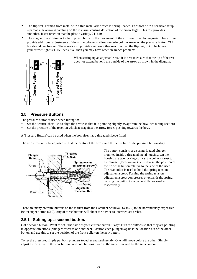- The flip rest. Formed from metal with a thin metal arm which is spring-loaded. For those with a sensitive setup – perhaps the arrow is catching on the rest arm, causing deflection of the arrow flight. This rest provides smoother, faster reaction that the plastic variety. £4- £10
- The magnetic rest. Similar to the flip rest, but with the movement of the arm controlled by magnets. These often provide additional adjustments of the arm up/down to allow centering of the arrow on the pressure button.  $£15+$ but should last forever. These rests also provide even smoother reaction than the flip rest, but to be honest, if your arrow flight is THAT sensitive, then you may have other clearance problems.



When setting up an adjustable rest, it is best to ensure that the tip of the rest does not extend beyond the outside of the arrow as shown in the diagram.

## **2.5 Pressure Buttons**

The pressure button is used when tuning to:

- Set the "centre-shot" i.e. to align the arrow so that it is pointing slightly away from the bow (see tuning section)
- Set the pressure of the reaction which acts against the arrow forces pushing towards the bow.

A 'Pressure Button' can be used when the bow riser has a threaded sleeve fitted.

The arrow rest must be adjusted so that the centre of the arrow and the centreline of the pressure button align.



The button consists of a spring-loaded plunger mounted inside a threaded metal housing. On the housing are two locking collars, the collar closest to the plunger (location nut) is used to set the position of the tip of the button relative to the side of the riser. The rear collar is used to hold the spring tension adjustment screw. Turning the spring tension adjustment screw compresses or expands the spring, causing the button to become stiffer or weaker respectively.

There are many pressure buttons on the market from the excellent Shibuya DX ( $\text{\pounds}20$ ) to the horrendously expensive Beiter super button (£60). Any of these buttons will shoot the novice to intermediate archer.

### **2.5.1 Setting up a second button.**

Got a second button? Want to set it the same as your current button? Easy! Turn the buttons so that they are pointing in opposite directions (plungers towards one another). Position each plungers against the location nut of the other button and use this to set the position of the front collar on the new button.

To set the pressure, simply put both plungers together and push gently. One will move before the other. Simply adjust the pressure in the new button until both buttons move at the same time and by the same amount.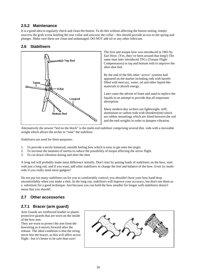### **2.5.2 Maintenance**

It is a good idea to regularly check and clean the button. To do this without affecting the button setting, simply unscrew the grub screw holding the rear collar and unscrew the collar – this should provide access to the spring and plunger. Make sure these are clean and undamaged. DO NOT add oil or any other lubricant.

#### **2.6 Stabilisers**



The first anti-torque bow was introduced in 1961 by Earl Hoyt. (Yes, they've been around that long!) The same man later introduced TFCs (Torque Flight Compensators) to top and bottom rods to improve the after-shot feel.

By the end of the 60s other 'active' systems had appeared on the market including rods with barrels filled with mercury, water, oil and other liquid-like materials to absorb energy.

Later came the advent of foam and sand to replace the liquids in an attempt to provide that all-important absorption.

Many modern-day archers use lightweight, stiff, aluminium or carbon rods with Doinkers(tm) which are rubber mountings which are fitted between the rod and the end-weights in order to dampen vibration.

Alternatively the newest "kid on the block" is the multi-rod stabiliser comprising several thin rods with a moveable weight which allows the archer to "tune" the stabiliser.

Stabilisers are used for three purposes:

- 1. To provide a nicely balanced, smooth feeling bow which is easy to get onto the target.
- 2. To increase the moment of inertia to reduce the possibility of torque affecting the arrow flight.
- 3. To cut down vibration during and after the shot

A long rod will probably make most difference initially. Don't start by putting loads of stabilisers on the bow, start with just a long rod, and if you want, add other stabilisers to change the feel and balance of the bow. Even try multirods if you really need more gadgets!

Do not put too many stabilisers on for you to comfortably control; you shouldn't have your bow hand drop uncontrollably when you make a shot. In the long run, stabilisers will improve your accuracy, but don't use them as a substitute for a good technique. Just because you can hold the bow steadier for longer with stabilisers doesn't mean that you should!

## **2.7 Other accessories**

## **2.7.1 Bracer (arm guard)**

Arm Guards are reinforced leather or plastic protective guards that are worn on the inside of the bow arm.

They are worn to protect the arm from the bowstring as it moves forward after the release. The ideal condition is that the string never hits the bracer, as this will affect arrow flight - but it's better to be safe than sore!

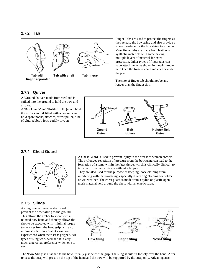



Finger Tabs are used to protect the fingers as they release the bowstring and also provide a smooth surface for the bowstring to slide on. Most finger tabs are made from leather or synthetic materials with some having multiple layers of material for extra protection. Other types of finger tabs can have attachments as shown in the picture, to help keep the fingers apart and anchor under the jaw.

The size of finger tab should not be any longer than the finger tips.

## **2.7.3 Quiver**

A 'Ground Quiver' made from steel rod is spiked into the ground to hold the bow and arrows.

A 'Belt Quiver' and 'Holster Belt Quiver' hold the arrows and, if fitted with a pocket, can hold spare nocks, fletches, arrow puller, tube of glue, rabbit's foot, cuddly toy, etc.



#### **2.7.4 Chest Guard**



A Chest Guard is used to prevent injury to the breast of women archers. The prolonged repetition of pressure from the bowstring can lead to the formation of a lump within the fatty tissue, which is clinically difficult to tell apart from cancer tissue without a biopsy.

They are also used for the purpose of keeping loose clothing from interfering with the bowstring, especially if wearing clothing for colder or wet weather. The chest guard is made from a nylon or plastic open mesh material held around the chest with an elastic strap.

#### **2.7.5 Slings**

A sling is an adjustable strap used to prevent the bow falling to the ground. This allows the archer to shoot with a relaxed bow hand and thereby allows the shot to be executed with minimal torque to the riser from the hand grip, and also minimises the shot-to-shot variation experienced when the riser is gripped. All types of sling work well and it is very much a personal preference which one to use.



The 'Bow Sling' is attached to the bow, usually just below the grip. The sling should fit loosely over the hand. After release the strap will press on the top of the hand and the bow will be supported by the strap only. Advantage(s):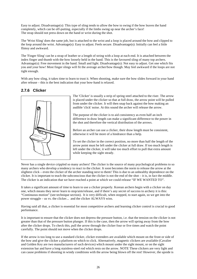Easy to adjust. Disadvantage(s): This type of sling tends to allow the bow to swing if the bow leaves the hand completely, which can be off-putting, especially if the limbs swing up near the archer's face! The strap should not press down on the hand or wrist during the shot.

The 'Wrist Sling' does the same job, but is attached to the wrist and a loop is placed around the bow and clipped to the loop around the wrist. Advantage(s): Easy to adjust. Feels secure. Disadvantage(s): Initially can feel a little flimsy and awkward.

The 'Finger Sling' can be a strap of leather or a length of string with a loop at each end. It is attached between the index finger and thumb with the bow loosely held in the hand. This is the favoured sling of many top archers. Advantage(s): Free movement in the hand. Small and light. Disadvantage(s): Not easy to adjust. Get one which fits you and your bow! Most finger slings will fit the average archer/bow though. May feel awkward if the loops are not tight enough.

With any bow sling, it takes time to learn to trust it. When shooting, make sure the bow slides forward in your hand after release – this is the best indication that your bow-hand is relaxed.

## **2.7.6 Clicker**



The 'Clicker' is usually a strip of spring steel attached to the riser. The arrow is placed under the clicker so that at full draw, the arrow point will be pulled from under the clicker. It will then snap back against the bow making an audible 'click' noise. At this sound the archer will release the arrow.

The purpose of the clicker is to aid consistency as even half an inch difference in draw length can make a significant difference to the power in the shot and therefore the vertical distribution of the arrows.

Before an archer can use a clicker, their draw length must be consistent, otherwise it will be more of a hindrance than a help.

To set the clicker in the correct position, no more than half the length of the arrow point must be left under the clicker at full draw. If too much length is left under the clicker, it will take too much effort to pull that extra amount while keeping the sight steady.

Never has a single device crippled so many archers! The clicker is the source of many psychological problems to so many archers who develop a tendency to react to the clicker. It soon becomes the norm to release the arrow at the slightest click – even the clicker of the archer standing next to them! This is due to an unhealthy dependence on the clicker. It is important to teach the subconscious that the clicker is not the end of the shot – it is, in fact the middle. The clicker is an indication that we have reached a point at which we could release "IF WE WANTED TO".

It takes a significant amount of time to learn to use a clicker properly. Korean archers begin with a clicker on day one, which means they never learn to stop/aim/release, and if there's any secret of success to archery it is this: "Continuous motion" (see technique section). It is very difficult, when stopped, to start again, so we get into the power struggle – us vs. the clicker... and the clicker ALWAYS wins.

Having said all that, a clicker is essential for most competitive archers and learning clicker control is crucial to good performance.

It is important to ensure that the clicker does not depress the pressure button, i.e. that the tension on the clicker is not greater than that of the pressure button plunger. If this is the case, then the arrow will spring away from the bow after the clicker drops. To check this, pull the arrow through the clicker four or five times and watch the point carefully. The point should not move when the clicker drops.

If the arrow is too long to use a standard clicker, clicker extenders are available which mount on the front or side of the bow and give the clicker a platform on which to click. Alternatively, magnetic clickers are available (Cavalier and Golden Key are two manufacturers of such devices) which mount under the sight mount, or on the sight extension bar and have a long stainless-steel rod which rests on the arrow. NOTE These clickers are very light and can cause problems if shooting in windy conditions with the arrow being blown off the rest! However, the upside is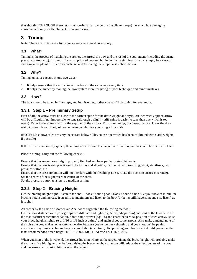that shooting THROUGH these rests (i.e. loosing an arrow before the clicker drops) has much less damaging consequences on your fletchings OR on your score!

## **3 Tuning**

Note: These instructions are for finger-release recurve shooters only.

## **3.1 What?**

Tuning is the process of matching the archer, the arrow, the bow and the rest of the equipment (including the string, pressure button, etc.). It sounds like a complicated process, but in fact in its simplest form can simply be a case of shooting a couple of extra arrows each end and following the simple instructions below.

## **3.2 Why?**

Tuning enhances accuracy one two ways:

- 1. It helps ensure that the arrow leaves the bow in the same way every time.
- 2. It helps the archer by making the bow system more forgiving of poor technique and minor mistakes.

## **3.3 How?**

The bow should be tuned in five steps, and in this order... otherwise you'll be tuning for ever more.

## **3.3.1 Step 1 – Preliminary Setup**

First of all, the arrow must be close to the correct spine for the draw weight and style. An incorrectly spined arrow will be difficult, if not impossible, to tune (although a slightly stiff spine is easier to tune than one which is too weak). Refer to the spine chart for the supplier of the arrows. This is assuming, of course, that you know the draw weight of your bow. If not, ask someone to weigh it for you using a bowscale.

(**NOTE**: Most bowscales are very inaccurate below 40lbs, so use one which has been calibrated with static weights if possible)

If the arrow is incorrectly spined, then things can be done to change that situation, but these will be dealt with later.

Prior to tuning, carry out the following checks:

Ensure that the arrows are straight, properly fletched and have perfectly straight nocks.

Ensure that the bow is set up as it would be for normal shooting, i.e. the correct bowstring, sight, stabilisers, rest, pressure button, etc.

Ensure that the pressure button will not interfere with the fletchings (if so, rotate the nocks to ensure clearance). Set the centre of the sight over the centre of the shaft.

Set the pressure button tension to a medium setting

## **3.3.2 Step 2 – Bracing Height**

Get the bracing height right. Listen to the shot – does it sound good? Does it sound harsh? Set your bow at minimum bracing height and increase it steadily to maximum and listen to the bow (or better still, have someone else listen) as it is shot.

An archer by the name of Marcel van Apeldoorn suggested the following method:

Go to a long distance were your groups are still nice and tight (e.g. 50m perhaps 70m) and start at the lower end of the manufacturers recommendation. Shoot some arrows (e.g. 18) and chart the vertical position of each arrow. Raise your brace-height slightly (e.g. 1/16 or 1/8 inch at a time) and again shoot some arrows. Also make a mental note of the noise the bow makes, or ask someone else, because you're too busy shooting and you shouldn't be paying attention to anything else but making one good shot (each time). Keep raising your brace-height until you are at the max. recommended brace-height. KEEP YOUR SIGHT ALWAYS THE SAME.

When you start at the lower end, the arrows hit somewhere on the target, raising the brace-height will probably make the arrows hit a bit higher than before, raising the brace-height a bit more will reduce the effectiveness of the bow, and the arrows will start to hit lower on the target.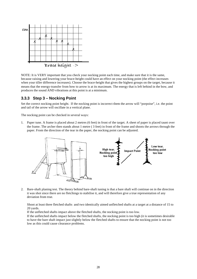

NOTE: It is VERY important that you check your nocking point each time, and make sure that it is the same, because raising and lowering your brace-height could have an effect on your nocking point (the effect increases when your tiller difference increases). Choose the brace-height that gives the highest groups on the target, because it means that the energy-transfer from bow to arrow is at its maximum. The energy that is left behind in the bow, and produces the sound AND vibrations at this point is at a minimum.

#### **3.3.3 Step 3 – Nocking Point**

Set the correct nocking point height. If the nocking point is incorrect them the arrow will "porpoise", i.e. the point and tail of the arrow will oscillate in a vertical plane.

The nocking point can be checked in several ways:

1. Paper tune. A frame is placed about 2 metres (6 feet) in front of the target. A sheet of paper is placed taunt over the frame. The archer then stands about 1 metre ( 3 feet) in front of the frame and shoots the arrows through the paper. From the direction of the tear in the paper, the nocking point can be adjusted.



2. Bare-shaft planing test. The theory behind bare-shaft tuning is that a bare shaft will continue on in the direction it was shot since there are no fletchings to stabilise it, and will therefore give a true representation of any deviation from true.

Shoot at least three fletched shafts and two identically aimed unfletched shafts at a target at a distance of 15 to 20 yards.

If the unfletched shafts impact above the fletched shafts, the nocking point is too low.

If the unfletched shafts impact below the fletched shafts, the nocking point is too high (it is sometimes desirable to have the bare shaft impact just slightly below the fletched shafts to ensure that the nocking point is not too low as this could cause clearance problems.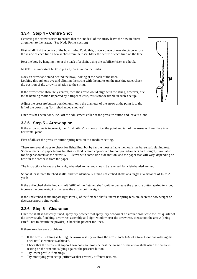## **3.3.4 Step 4 – Centre Shot**

Centering the arrow is used to ensure that the "nodes" of the arrow leave the bow in direct alignment to the target. (See Node Points section)

First of all find the centre of the bow limbs. To do this, place a piece of masking tape across the inside of each limb a few inches from the riser. Mark the centre of each limb on the tape.

Rest the bow by hanging it over the back of a chair, using the stabiliser/riser as a hook.

NOTE: it is important NOT to put any pressure on the limbs.

Nock an arrow and stand behind the bow, looking at the back of the riser. Looking through one eye and aligning the string with the marks on the masking tape, check the position of the arrow in relation to the string.

If the arrow were absolutely central, then the arrow would align with the string, however, due to the bending motion imparted by a finger release, this is not desirable in such a setup.

Adjust the pressure button position until only the diameter of the arrow at the point is to the left of the bowstring (for right-handed shooters).

Once this has been done, lock off the adjustment collar of the pressure button and leave it alone!

## **3.3.5 Step 5 – Arrow spine**

If the arrow spine is incorrect, then "fishtailing" will occur. i.e. the point and tail of the arrow will oscillate in a horizontal plane.

First of all, set the pressure button spring tension to a medium setting.

There are several ways to check for fishtailing, but by far the most reliable method is the bare-shaft planing test. Some archers use paper tuning but this method is more appropriate for compound archers and is highly unreliable for finger shooters as the arrow WILL leave with some side-side motion, and the paper tear will vary, depending on how far the archer is from the paper.

The instructions below are for a right-handed archer and should be reversed for a left-handed archer.

Shoot at least three fletched shafts and two identically aimed unfletched shafts at a target at a distance of 15 to 20 yards.

If the unfletched shafts impacts left (stiff) of the fletched shafts, either decrease the pressure button spring tension, increase the bow weight or increase the arrow point weight.

If the unfletched shafts impact right (weak) of the fletched shafts, increase spring tension, decrease bow weight or decrease arrow point weight.

### **3.3.6 Step 6 – Clearance**

Once the shaft is basically tuned, spray dry powder foot spray, dry deodorant or similar product to the last quarter of the arrow shaft, fletching, arrow rest assembly and sight window near the arrow rest, then shoot the arrow (being careful not to disturb the powder). Check the powder for lines.

If there are clearance problems:

- If the arrow fletching is hitting the arrow rest, try rotating the arrow nock  $1/32$  of a turn. Continue rotating the nock until clearance is achieved.
- Check that the arrow rest support arm does not protrude past the outside of the arrow shaft when the arrow is resting on the arm and is lying against the pressure button.
- Try lower profile fletchings
- Try modifying your setup (stiffer/weaker arrows), different rest, etc.

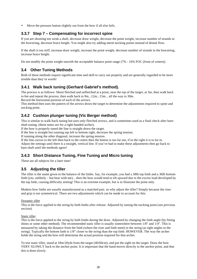Move the pressure button slightly out from the bow if all else fails.

#### **3.3.7 Step 7 – Compensating for incorrect spine**

If you are shooting too weak a shaft, decrease draw weight, decrease the point weight, increase number of strands in the bowstring, decrease brace height. You might also try adding metal nocking points instead of dental floss.

If the shaft is too stiff, increase draw weight, increase the point weight, decrease number of strands in the bowstring, increase brace height.

Do not modify the point weight outwith the acceptable balance point range (7% - 16% FOC (front of centre)).

### **3.4 Other Tuning Methods**

Both of these methods require significant time and skill to carry out properly and are generally regarded to be more trouble than they're worth!

### **3.4.1 Walk back tuning (Gerhard Gabriel's method).**

The process is as follows: Shoot fletched and unfletched at a point, near the top of the target, at 3m, then walk back to 6m and repeat the process, then walk back to 9m...12m...15m... all the way to 30m.

Record the horizontal position of each of the arrows.

This method then uses the pattern of the arrows down the target to determine the adjustments required to spine and nocking point.

### **3.4.2 Cushion plunger tuning (Vic Berger method)**

This is similar to walk-back tuning but uses only fletched arrows, and is sometimes used as a final check after bareshaft tuning. (these notes are for a right-handed archer).

If the bow is properly tuned the line is straight down the target.

If the line is straight but running top left to bottom right, decrease the spring tension.

If running along the other diagonal, increase the spring tension.

If the line curves to the left then back to the centre then the button is too far out, if to the right it is to far in. Adjust the settings until there is a straight, vertical line. If you've had to make these adjustments then go back to bare shaft until the methods agree!

## **3.4.3 Short Distance Tuning, Fine Tuning and Micro tuning**

These are all subjects for a later time!

### **3.5 Adjusting the tiller**

The tiller is the name given to the balance of the limbs. Say, for example, you had a 38lb top limb and a 36lb bottom limb (yes, unlikely – but bear with me)... then the bow would tend to tilt upward due to the excess load developed by the top limb, causing difficulty aiming! This is an extreme example, but is to illustrate the point only.

Modern bow limbs are usually manufactured as a matched pair, so why adjust the tiller? Simply because the riser and grip is not symmetrical. There are two adjustments which can be made to account for this:

#### Dynamic tiller

This is the force applied to the string by both limbs after release. Adjusted by tuning the nocking point (see previous section)

#### Static tiller

This is the force applied to the string by both limbs during the draw. Adjusted by changing the limb angle (by fitting shims or some other method). The recommended static tiller is usually somewhere between 1/8" and 1/4". This is measured by taking the distance from the limb (where the riser and limb meet) to the string (at right angles to the string). Typically the bottom limb is 1/8" closer to the string than the top limb. HOWEVER. The way the archer holds the string and the bow will determine the actual position required for that archer.

To test static tiller, stand at 18m/20yds from the target (40/60cm), and put the sight on the target. Draw the bow VERY SLOWLY back to the anchor point. It is important that the hand moves directly to the anchor point, and that this is done slowly.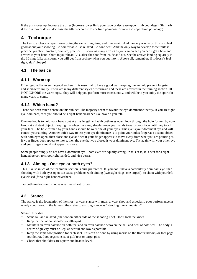If the pin moves up, increase the tiller (increase lower limb poundage or decrease upper limb poundage). Similarly, if the pin moves down, decrease the tiller (decrease lower limb poundage or increase upper limb poundage).

## **4 Technique**

The key to archery is repetition – doing the same thing time, and time again. And the only way to do this is to feel good about your shooting. Be comfortable. Be relaxed. Be confident. And the only way to develop these traits is practice, practice, practice, practice, practice...... shoot as many arrows as you can. When you can't get a bow and arrows in your hand, shoot in your head. Visualise the shot from inside and out. See the arrows landing squarely in the 10-ring. Like all sports, you will get from archery what you put into it. Above all, remember: if it doesn't feel right, **don't let go**!

## **4.1 The basics**

### **4.1.1 Warm up!**

Often ignored by even the good archers! It is essential to have a good warm-up regime, to help prevent long-term and short-term injury. There are many different styles of warm-up and these are covered in the training section. DO NOT IGNORE the warm-ups... they will help you perform more consistently, and will help you enjoy the sport for many years to come.

## **4.1.2 Which hand?**

There has been much debate on this subject. The majority seem to favour the eye-dominance theory. If you are right eye-dominant, then you should be a right-handed archer. So, how do you tell?

One method is to hold your hands out at arms length and with both eyes open, look through the hole formed by your hands at a distant object. Keeping that object in view, slowly move your hands towards your face until they touch your face. The hole formed by your hands should be over one of your eyes. This eye is your dominant eye and will control your aiming. Another quick way to test your eye dominance is to point your index finger at a distant object with both eyes open, then close one eye and see if your finger appears to move away from what you are pointing at. If your finger does appear to move, then the eye that you closed is your dominant eye. Try again with your other eye and your finger should not appear to move.

Some people simply do not have a dominant eye – both eyes are equally strong. In this case, it is best for a righthanded person to shoot right handed, and vice versa.

## **4.1.3 Aiming - One eye or both eyes?**

This, like so much of the technique section is pure preference. If you don't have a particularly dominant eye, then shooting with both eyes open can cause problems with aiming (two sight rings, one target!), so shoot with your left eye closed (for a right-handed archer).

Try both methods and choose what feels best for you.

## **4.2 Stance**

The stance is the foundation of the shot – a weak stance will mean a weak shot, and especially poor performance in windy conditions. In the far east, they refer to a strong stance as "standing like a mountain".

Stance Checklist

- Stand tall and relaxed (one foot on either side of the shooting line). Don't lock the knees.
- Keep the feet about shoulder-width apart.
- Maintain an even balance on both feet and an even balance between the ball and heel of both feet. The body's centre of gravity must be kept as central and low as possible.
- Keep the same foot position for each shot. This can be done by using marks on the floor (indoors) or foot pegs (outdoors). Foot pegs consist of golf tees or target pins.
- Check that shoulders are square and head is level.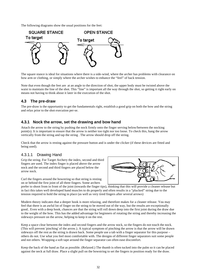The following diagrams show the usual positions for the feet:



The square stance is ideal for situations where there is a side-wind, where the archer has problems with clearance on bow arm or clothing, or simply where the archer wishes to enhance the "feel" of back tension.

Note that even though the feet are at an angle to the direction of shot, the upper body must be twisted above the waist to maintain the line of the shot. This "line" is important all the way through the shot, so getting it right early on means not having to think about it later in the execution of the shot.

### **4.3 The pre-draw**

The pre-draw is the opportunity to get the fundamentals right, establish a good grip on both the bow and the string and relax prior to the shot execution per-se.

#### **4.3.1 Nock the arrow, set the drawing and bow hand**

Attach the arrow to the string by pushing the nock firmly onto the finger serving below/between the nocking point(s). It is important to ensure that the arrow is neither too tight nor too loose. To check this, hang the arrow vertically from the string and tap the string . The arrow should drop off the string.

Check that the arrow is resting against the pressure button and is under the clicker (if these devices are fitted and being used).

#### 4.3.1.1 Drawing Hand

Grip the string. For Target Archery the index, second and third fingers are used. The index finger is placed above the arrow nock and the second and third fingers are placed below the arrow nock.

Curl the fingers around the bowstring so that string is resting on or behind the first joint of all three fingers. Some archers

prefer to shoot from in front of the joint (towards the finger tips), thinking that this will provide a cleaner release but in fact this takes well developed hand muscles to do properly and often results in a "plucked" string due to the tension required to hold the string in place (as well as very tired fingers after several arrows)

Modern theory indicates that a deeper hook is more relaxing, and therefore makes for a cleaner release. You may feel that there is an awful lot of finger on the string to be moved out of the way, but the results are exceptionally good.. Even with a deep hook, chances are that the string will roll down deep into the first joint during the draw due to the weight of the bow. This has the added advantage for beginners of rotating the string and thereby increasing the sideways pressure on the arrow, helping to keep it on the rest.

Keep a space clear between the index and second fingers and the arrow nock, so the fingers do not touch the nock. (This will prevent 'pinching' of the arrow.). A typical symptom of pinching the arrow is that the arrow will be drawn sideways off the rest as the string is drawn back. Some people use a tab with a finger separator for this purpose – others do not. Use what you feel most comfortable with. The designs of different finger separators suit some people and not others. Wrapping a soft tape around the finger separator can often ease discomfort.

Keep the back of the hand as flat as possible. (Relaxed.) The thumb is often tucked into the palm so it can be placed against the neck at full draw. Place a slight pull on the bowstring to set the fingers in position ready for the draw.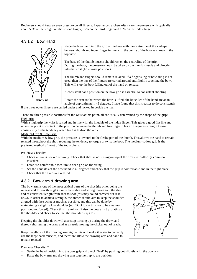Beginners should keep an even pressure on all fingers. Experienced archers often vary the pressure with typically about 50% of the weight on the second finger, 35% on the third finger and 15% on the index finger.

## 4.3.1.2 Bow Hand



Place the bow hand into the grip of the bow with the centreline of the v-shape between thumb and index finger in line with the centre of the bow as shown in the top view.

The base of the thumb muscle should rest on the centreline of the grip. During the draw, the pressure should be taken on the thumb muscle and directly into the wrist.(Low wrist position.)

The thumb and fingers should remain relaxed. If a finger sling or bow sling is not used, then the tips of the fingers are curled around until lightly touching the bow. This will stop the bow falling out of the hand on release.

A consistent hand position on the bow grip is essential to consistent shooting.

Rotate the arm so that when the bow is lifted, the knuckles of the hand are at an angle of approximately 45 degrees. I have found that this is easier to do consistently

if the three outer fingers are curled under and tucked in beside the riser.

There are three possible positions for the wrist at this point, all are usually determined by the shape of the grip: High-grip

With a high grip the wrist is raised and in line with the knuckle of the index finger. This gives a good flat line and raises the point of contact to the position between the thumb and forefinger. This grip requires strength to use consistently as the tendency when tired is to drop the wrist.

#### Medium-Grip & Low-Grip

With the medium  $\&$  low grip, the pressure is lowered to the fleshy part of the thumb. This allows the hand to remain relaxed throughout the shot, reducing the tendency to torque or twist the bow. The medium-to-low grip is the preferred method of most of the top archers.

Pre-draw Checklist 1

- Check arrow is nocked securely. Check that shaft is not sitting on top of the pressure button. (a common mistake!)
- Establish comfortable medium to deep grip on the string.
- Set the knuckles of the bow hand to 45 degrees and check that the grip is comfortable and in the right place.
- Check that the hands are relaxed.

#### **4.3.2 Bow arm & drawing arm**

The bow arm is one of the most critical parts of the shot (the other being the release and follow through) it must be stable and strong throughout the shot, and of consistent length from shot to shot (this may sound comical but read on...). In order to achieve strength, the archer should aim to keep the shoulder aligned with the socket as much as possible, and this can be done by maintaining a slightly low shoulder (not TOO low – this has to be a natural position, not forced). Check this in a mirror. Raise the bow arm by rotating at the shoulder and check to see that the shoulder stays low.

Keeping the shoulder down will also stop it rising up during the draw, and thereby shortening the draw and as a result moving the clicker out of reach.

Keep the elbow of the drawing arm high – this will make it easier to correctly use the large back muscles, and therefore allow the drawing arm and hand to remain relaxed.

Pre-draw Checklist 2

- Settle the hand position into the bow grip and check "feel" by pushing out slightly with the bow arm.
- Raise the bow arm and drawing arm together, up to the position.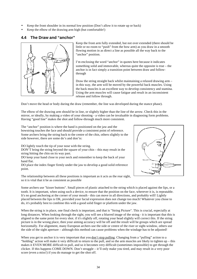- Keep the front shoulder in its normal low position (Don't allow it to rotate up or back)
- Keep the elbow of the drawing arm high (but comfortable!)

#### **4.4 The Draw and "anchor"**



Keep the front arm fully extended, but not over extended (there should be little or no room to "push" from the bow arm) as you draw in a smooth flowing motion in as direct a line as possible all the way back to the "anchor" position.

I'm enclosing the word "anchor" in quotes here because it indicates something solid and immovable, whereas quite the opposite is true – the anchor is in fact simply a transition point between draw and followthrough

Draw the string straight back whilst maintaining a relaxed drawing arm – in this way, the arm will be moved by the powerful back muscles. Using the back muscles is an excellent way to develop consistency and stamina. Using the arm muscles will cause fatigue and result in an inconsistent release and follow through.

Don't move the head or body during the draw (remember, the line was developed during the stance phase).

The elbow of the drawing arm should be in line, or slightly higher than the line of the arrow. Check this in the mirror, or ideally, by making a video of your shooting - a video can be invaluable in diagnosing form problems. Having "good line" makes the shot and follow-through much more consistent.

The "anchor" position is where the hand is positioned on the jaw and the bowstring touches the face and should provide a consistent point of reference. Some archers bring the string back to the centre of the chin, others slightly to the side however, there are some do's and don'ts:

DO lightly touch the tip of your nose with the string.

DON'T bring the string beyond the square of your chin – this may result in the string hitting the chin on its way past.

DO keep your hand close to your neck and remember to keep the back of your hand flat.

DO place the index finger firmly under the jaw to develop a good solid reference point.

The relationship between all these positions is important as it acts as the rear sight, so it is vital that it be as consistent as possible



Some archers use "kisser buttons". Small pieces of plastic attached to the string which is placed against the lips, or a tooth. It is important, when using such a device, to ensure that the position on the face, wherever it is, is repeatable. It's no good anchoring at the corner of your mouth - this can move in all directions, and probably will! Lightly placed between the lips is OK, provided your facial expression does not change too much! Whatever you chose to do, it's probably best to combine this with a good solid finger or platform under the jaw.

When the string is in place, one final check is important, and that is "String Picture". This is crucial, especially at long distances. When looking through the sight, you will see a blurred image of the string - it is important that this is aligned to the same point for every shot. if it's slightly off, rotating your head slightly will correct this. If the string picture is in the wrong place, then your aiming accuracy will be off and the result will be groups which are spread horizontally. For alignment, many European archers use the side or centre of the riser or sight-window, others use the side of the sight aperture – although this method can cause problems when the windage has to be adjusted!

When you get to anchor it is very important that you <u>don't stop pulling</u>. Changing from a "pulling" action to a "holding" action will make it very difficult to return to the pull, and so the arm muscles are likely to tighten up – this makes it EVEN MORE difficult to pull, and so it becomes very difficult (sometimes impossible) to get through the clicker. If this happens COME DOWN. Don't struggle – it'll only make you tired, and may result in a very poor score (even a miss!) if you do manage to get the shot off.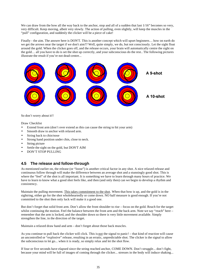We can draw from the bow all the way back to the anchor, stop and all of a sudden that last 1/16" becomes so very, very difficult. Keep moving, albeit very slowly. The action of pulling, even slightly, will keep the muscles in the "pull" configuration, and suddenly the clicker will be a piece of cake!

Finally - the aim. The answer here is DON'T. This is another concept which will upset beginners… how on earth do we get the arrows near the target if we don't aim?? Well, quite simply, we do, but not consciously. Let the sight float around the gold. When the clicker goes off, and the release occurs, your brain will automatically centre the sight on the gold… all you have to do is set the shot up correctly, and your subconscious do the rest.. The following pictures illustrate the result if you're not dead-centre...



So don't worry about it!!

Draw Checklist

- Extend front arm (don't over extend as this can cause the string to hit your arm)
- Smooth draw to anchor with relaxed arm.
- String back to chin/nose
- Strong hand position under chin, close to neck.
- String picture
- Settle the sight on the gold, but DON'T AIM
- DON'T STOP PULLING

### **4.5 The release and follow-through**

As mentioned earlier on, the release (or "loose") is another critical factor in any shot. A nice relaxed release and continuous follow through will make the difference between an average shot and a stunningly good shot. This is where the "feel" of the shot is all important. It is something we have to learn through many hours of practice. We have to learn to know what a good shot feels like, and then (and only then) can we begin to develop a rhythm and consistency.

Maintain the pulling movement. This takes commitment to the shot. When that bow is up, and the gold is in the sightring, either go for the shot wholeheartedly or come down. NO half measure is good enough. If you're not committed to the shot then only luck will make it a good one.

But don't forget that solid front arm. Don't allow the front shoulder to rise – focus on the gold. Reach for the target whilst continuing the motion. Feel the balance between the front arm and the back arm. Note we say "reach" here – remember that the arm is locked, and the shoulder down so there is very little movement available. Simply strengthen the line, in the direction of the target.

Maintain a relaxed draw hand and arm – don't forget about those back muscles.

As you continue to pull back the clicker will click. This is not the signal to panic! – that kind of reaction will cause an uncontrolled or "explosive" release, resulting in an erratic, unpredictable shot. The clicker is the signal to allow the subconscious to let go... when it is ready, so simply relax and let the shot flow.

If four or five seconds have elapsed since the string reached anchor, COME DOWN. Don't struggle... don't fight, because your mind will be full of images of coming through the clicker... stresses in the body will induce shaking...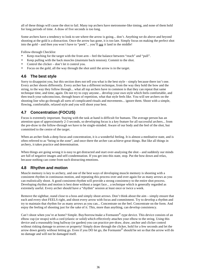all of these things will cause the shot to fail. Many top archers have metronome-like timing, and none of them hold for long periods of time. A draw of five seconds is too long.

Some archers have a tendency to look to see where the arrow is going... don't. Anything we do above and beyond shooting at the gold is a distraction. Once the arrow has gone, it is too late. Simply focus on making the perfect shot into the gold – and then you won't have to "peek"... you'll see it land in the middle!

Follow-through Checklist

- Keep reaching for the target with the front arm feel the balance between "reach" and "pull".
- Keep pulling with the back muscles (maintain back tension). Commit to the shot.
- Control the clicker don't let it control you.
- Focus on the gold, all the way through the shot until the arrow is in the target.

#### **4.6 The best style**

Sorry to disappoint you, but this section does not tell you what is the best style – simply because there isn't one. Every archer shoots differently. Every archer has a different technique, from the way they hold the bow and the string, to the way they follow through... what all top archers have in common is that they can repeat that same technique time, and time, again. Do not try to copy anyone... develop your own style which feels comfortable, and then teach your subconscious, through hours of repetition, what that style feels like. You will see archers on the shooting line who go through all sorts of complicated rituals and movements... ignore them. Shoot with a simple, flowing, comfortable, relaxed style and you will shoot your best.

## **4.7 Concentration (FOCUS)**

Focus is extremely important. Staying with the task at hand is difficult for humans. The average person has an attention span of approximately 2-3 seconds, so developing focus is a key feature for all successful archers... from the pre-draw to the follow-through we have to be single-minded. Aware of our body and the feel of the shot, but committed to the centre of the target.

When an archer finds a deep focus and concentration, it is a wonderful feeling. It is almost a meditative state, and is often referred to as "being in the zone", and once there the archer can achieve great things. But like all things in archery, it takes practice and determination.

When things are going wrong it is easy to get distracted and start over-analysing the shot – and suddenly our minds are full of negative images and self-condemnation. If you get into this state, stop. Put the bow down and relax, because nothing can come from such distracting emotions.

#### **4.8 Rhythm and motion**

Muscle memory is key to archery, and one of the best ways of developing muscle memory is shooting with a consistent rhythm in continuous motion, and repeating this process over and over again for as many arrows as you can realistically shoot. A good consistent rhythm will provide a strong consistency to the entire shot process. Developing rhythm and motion is best done without a target face... a technique which is generally regarded as extremely useful. Every archer should have a "rhythm" session at least once or twice a week.

Remove the sightbar, stand close to a boss and simply shoot arrows. Don't think about the aim – simply ensure that each and every shot FEELS right, and shoot every arrow with focus and commitment. Try to develop a rhythm and try to maintain that rhythm for as many arrows as you can... Concentrate on the feel. Concentrate on the form. And enjoy the feeling of shooting just for the sake of it. This, more than anything, can develop consistency.

Can't shoot when you're at home? Simple. Buy/borrow/make a Formaster®-type device. This device consists of an elbow cup (or straps) with a cord (elastic or solid) which effectively attaches your elbow to the string. Using this device and a reasonably long hallway (or garden) you can practice pre-draw, draw, anchor and clicker control without risking damage to arrows or property! Simply draw through the clicker, hold for a few seconds and let the arrow down gently without letting go. Even if you DO let go, the Formaster® should be set so that the arrow will do no damage and will not be damaged itself.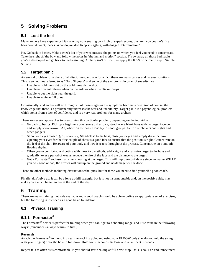## **5 Solving Problems**

## **5.1 Lost the feel**

Many archers have experienced it – one day your soaring on a high of superb scores, the next, you couldn't hit a barn door at twenty paces. What do you do? Keep struggling, with dogged determination?

No. Go back to basics. Make a check list of your weaknesses, the points on which you feel you need to concentrate. Take the sight off the bow and follow the notes in "rhythm and motion" section. Throw away all those bad habits you've developed and go back to the beginning. Archery isn't difficult, so apply the KISS principle (Keep It Simple, Stupid).

## **5.2 Target panic**

An eternal problem for archers of all disciplines, and one for which there are many causes and no easy solutions. This is sometimes referred to as "Gold Shyness" and some of the symptoms, in order of severity, are:

- Unable to hold the sight on the gold through the shot.
- Unable to prevent release when on the gold or when the clicker drops.
- Unable to get the sight near the gold.
- Unable to achieve full draw.

Occasionally, and archer will go through all of these stages as the symptoms become worse. And of course, the knowledge that there is a problem only increases the fear and uncertainty. Target panic is a psychological problem which stems from a lack of confidence and is a very real problem for many archers.

There are several approaches to overcoming this particular problem, depending on the individual:

- Go back to basics. Pick up a beginners bow, some old arrows, stand near a blank boss with no target face on it and simply shoot arrows. Anywhere on the boss. Don't try to shoot groups. Get rid of clickers and sights and other gadgets.
- Shoot with eyes closed. (yes, seriously) Stand close to the boss, close your eyes and simply draw the bow. Opening your eyes for the first couple of shots is a good idea to ensure that the position is right. Concentrate on the feel of the shot. Be aware of your body and how it reacts throughout the process. Concentrate on a smooth flowing rhythm.
- When you're comfortable shooting with these two methods, add a sight and a full-size target to the boss and gradually, over a period of weeks, reduce the size of the face and the distance to the target.
- Get a Formaster<sup>®</sup> and use that when shooting at the target. This will improve confidence since no matter WHAT you do - good or bad, the arrows will end up on the ground and no damage will be done.

There are other methods including distraction techniques, but for these you need to find yourself a good coach.

Finally, don't give up. It can be a long up-hill struggle, but it is not insurmountable and, on the positive side, may make you a much better archer at the end of the day.

## **6 Training**

There are many training methods available and a good coach should be able to define an appropriate set of exercises, but the following is intended as a good basic foundation.

## **6.1 Physical Training**

### **6.1.1 Formaster®**

The Formaster<sup>®</sup> device is perfect for training when you can't get to a shooting range, and I use mine in the following ways: (remember – always warm-up first!)

#### **Reversals**

Attach the Formaster® to the string near the nocking point and using your ELBOW only (i.e. do not hold the string with your fingers) draw the bow to full draw. Hold for 30 seconds. Release and relax for 30 seconds.

Repeat this as often as is comfortable. If you should start shaking at full draw, stop – this is NOT an endurance race!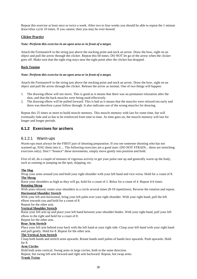Repeat this exercise at least once or twice a week. After two to four weeks you should be able to repeat the 1-minute draw/relax cycle 10 times. If you cannot, then you may be over-bowed.

#### **Clicker Practice**

#### *Note: Perform this exercise in an open area or in front of a target.*

Attach the Formaster® to the string just above the nocking point and nock an arrow. Draw the bow, sight on an object and pull the arrow through the clicker. Repeat this 60 times. DO NOT let go of the arrow when the clicker goes off. Make sure that the sight ring stays near the sight point after the clicker has dropped.

#### **Back Tension**

#### *Note: Perform this exercise in an open area or in front of a target.*

Attach the Formaster® to the string just above the nocking point and nock an arrow. Draw the bow, sight on an object and pull the arrow through the clicker. Release the arrow as normal. One of two things will happen:

- 1. The drawing elbow will not move. This is good as it means that there was no premature relaxation after the shot, and that the back muscles were being used effectively.
- 2. The drawing elbow will be pulled forward. This is bad as it means that the muscles were relaxed too early and there was therefore a poor follow through. It also indicates use of the wrong muscles for drawing.

Repeat this 25 times or more to build muscle memory. This muscle memory with last for some time, but will eventually fade and so has to be reinforced from time to time. As time goes on, the muscle memory will last for longer and longer periods.

#### **6.1.2 Exercises for archers**

#### 6.1.2.1 Warm-ups

Warm-ups must always be the FIRST part of shooting preparation. If you see someone shooting who has not warmed up, NAG them into it.... The following exercises are a good start: (DO NOT STRAIN... these are stretching exercises only). Don't "bounce" these movements, simply move gently into position and hold.

First of all, do a couple of minutes of vigorous activity to get your pulse rate up and generally warm up the body, such as running or jumping on the spot, skipping, etc.

#### **The Hug**

Wrap your arms around you and hold your right shoulder with your left hand and vice-versa. Hold for a count of 8. **The Shrug**

Raise your shoulders as high as they will go, hold for a count of 2. Relax for a count of 4. Repeat 4-6 times **Rotating Shrug**

With arms relaxed, rotate your shoulders in a circle several times  $(8-10$  repetitions). Reverse the rotation and repeat. **Horizontal Shoulder Stretch**

With your left arm horizontal, bring your left palm over your right shoulder. With your right hand, pull the left elbow towards you and hold for a count of 8.

#### Repeat for the other arm.

#### **Vertical Shoulder Stretch**

Raise your left arm up and place your left hand between your shoulder blades. With your right hand, pull your left elbow to the right and hold for a count of 8.

#### Repeat for the other arm. **Rear Arm Stretch**

Place your left arm behind your back with the left hand at your right side. Clasp your left hand with your right hand and pull gently. Hold for 8. Repeat for the other arm.

#### **The Vertical Arm Stretch**

Clasp both hands and stretch arms upwards. Rotate hands until palms of hands face upwards. Push upwards. Hold for 8.

#### **Arm Circles**

Hold both arms vertical. Swing arms in large circles, both in the same direction. Repeat, but swing left arm forward and right arm backward. Repeat, but swap arms. **Trunk Twists**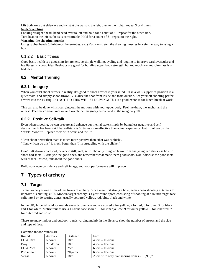Lift both arms out sideways and twist at the waist to the left, then to the right... repeat 3 or 4 times. **Neck Stretching**

Looking straight ahead, bend head over to left and hold for a count of 8 – repeat for the other side. Turn head to the left as far as is comfortable. Hold for a count of 8 – repeat to the right.

#### **Warming the shooting muscles**

Using rubber bands (clini-bands, inner-tubes, etc.) You can stretch the drawing muscles in a similar way to using a bow.

#### 6.1.2.2 Basic fitness

Good basic health is a good start for archers, so simple walking, cycling and jogging to improve cardiovascular and leg fitness is a good idea. Push-ups are good for building upper body strength, but too much arm muscle-mass is a bad idea.

### **6.2 Mental Training**

#### **6.2.1 Imagery**

When you can't shoot arrows in reality, it's good to shoot arrows in your mind. Sit in a well-supported position in a quiet room, and simply shoot arrows. Visualise the shot from inside and from outside. See yourself shooting perfect arrows into the 10-ring. DO NOT DO THIS WHILST DRIVING! This is a good exercise for lunch-break at work.

This can also be done whilst carrying out the motions with your upper body. Feel the draw, the anchor and the release. Feel the constant motion and watch the imaginary arrow land in the imaginary 10.

### **6.2.2 Positive Self-talk**

Even when shooting, we can prepare and enhance our mental state, simply by being less negative and selfdestructive. It has been said that self-talk is 60 times more effective than actual experience. Get rid of words like "can't", "won't". Replace them with "can" and "will".

"I can shoot better than that" is much more positive than "that was rubbish". "I know I can do this" is much better than "I'm struggling with the clicker"

Don't talk down a bad shot, or worse still, analyse it! The only thing we learn from analysing bad shots – is how to shoot bad shots!... Analyse the good ones, and remember what made them good shots. Don't discuss the poor shots with others, instead, talk about the good shots.

Build your own confidence and self image, and your performance will improve.

## **7 Types of archery**

### **7.1 Target**

Target archery is one of the oldest forms of archery. Since man first strung a bow, he has been shooting at targets to improve his hunting skills. Modern target archery is a year-round sport, consisting of shooting at a rounds target face split into 5 or 10 scoring zones, usually coloured yellow, red, blue, black and white.

In the UK, Imperial outdoor rounds use a 5-zone face and are scored 9 for yellow, 7 for red, 5 for blue, 3 for black and 1 for white. Metric rounds use a 10-zone face scored 10 for inner yellow, 9 for outer yellow, 8 for inner red, 7 for outer red and so on.

There are many indoor and outdoor rounds varying mainly in the distance shot, the number of arrows and the size and type of face.

| Round      | #arrows     | Distance | Face                                            |
|------------|-------------|----------|-------------------------------------------------|
| FITA 18m   | 5 dozen     | 18m      | $40cm - 10$ -zone                               |
| Bray I     | $2.5$ dozen | 18m      | $40cm - 10$ -zone                               |
| FITA 25m   | 5 dozen     | 25m      | $60cm - 10$ -zone                               |
| Portsmouth | 5 dozen     | 20 vards | $60cm - 10$ -zone                               |
| Vegas      | 5 dozen     | 18m      | 20cm with only five scoring zones $-10,9,8,7,6$ |

Common indoor rounds are: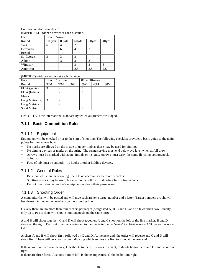| (IMPERIAL) - #dozen arrows at each distance. |                |       |       |                |       |  |  |
|----------------------------------------------|----------------|-------|-------|----------------|-------|--|--|
| Face                                         | $122cm$ 5-zone |       |       |                |       |  |  |
| Round                                        | 100yds         | 80yds | 60yds | 50yds          | 40yds |  |  |
| York                                         | h              |       |       |                |       |  |  |
| Hereford /                                   |                | 6     |       | $\mathfrak{D}$ |       |  |  |
| <b>Bristol I</b>                             |                |       |       |                |       |  |  |
| St. George                                   |                | 3     | 3     |                |       |  |  |
| Albion                                       |                | 3     |       |                |       |  |  |
| Windsor                                      |                |       |       |                |       |  |  |
| American                                     |                |       | 2.5   | 2.5            |       |  |  |

Common outdoor rounds are:

(METRIC) - #dozen arrows at each distance.

| Face                |     | $122cm$ 10-zone |     |     | 80cm 10-zone |     |  |
|---------------------|-----|-----------------|-----|-----|--------------|-----|--|
| Round               | 90M | 70M             | 60M | 50M | 40M          | 30M |  |
| FITA (gents)        |     |                 |     |     |              |     |  |
| FITA (ladies) /     |     |                 |     |     |              |     |  |
| Metric I            |     |                 |     |     |              |     |  |
| Long Metric $(g)$   |     |                 |     |     |              |     |  |
| Long Metric (1)     |     |                 |     |     |              |     |  |
| <b>Short Metric</b> |     |                 |     |     |              |     |  |

Gents FITA is the international standard by which all archers are judged.

## **7.1.1 Basic Competition Rules**

#### 7.1.1.1 Equipment

Equipment will be checked prior to the start of shooting. The following checklist provides a basic guide to the main points for the recurve bow:

- No marks are allowed on the inside of upper limb as these may be used for aiming.
- No aiming devices or marks on the string. The string serving must end below eye level when at full draw.
- Arrows must be marked with name, initials or insignia. Arrows must carry the same fletching colours/nock colours.
- Face of tab must be smooth no hooks or other holding devices.

### 7.1.1.2 General Rules

- Be silent whilst on the shooting line. On no account speak to other archers.
- Spotting scopes may be used, but may not be left on the shooting line between ends.
- Do not touch another archer's equipment without their permission.

### 7.1.1.3 Shooting Order

A competitor list will be posted and will give each archer a target number and a letter. Target numbers are shown beside each target and on markers on the shooting line.

Usually there are no more than four archers per target (designated A, B, C and D) and no fewer than two. Usually only up to two archers will shoot simultaneously on the same target.

A and B will shoot together, C and D will shoot together. A and C shoot on the left of the line marker, B and D shoot on the right. Each set of archers going up to the line is termed a "wave" i.e. First wave  $= A/B$ . Second wave  $=$ C/D.

Archers A and B will shoot first, followed by C and D. At the next end, the order will reverse and C and D will shoot first. There will be a board/sign indicating which archers are first to shoot at the next end.

If there are four faces on the target: A shoots top left, B shoots top right, C shoots bottom left, and D shoots bottom right.

If there are three faces: A shoots bottom left. B shoots top centre, C shoots bottom right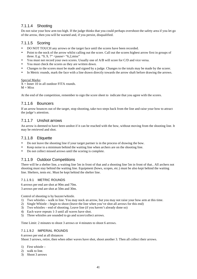## 7.1.1.4 Shooting

Do not raise your bow arm too high. If the judge thinks that you could perhaps overshoot the safety area if you let go of the arrow, then you will be warned and, if you persist, disqualified.

## 7.1.1.5 Scoring

- DO NOT TOUCH any arrows or the target face until the scores have been recorded.
- Point to the nock of the arrow whilst calling out the score. Call out the scores highest arrow first in groups of three. E.g. "9, 9, 7" < pause > "6,2, miss"
- You must not record your own scores. Usually one of A/B will score for C/D and vice versa.
- You must check the scores as they are written down.
- Changes to the scores must be made and signed by a judge. Changes to the totals may be made by the scorer.
- In Metric rounds, mark the face with a line drawn directly towards the arrow shaft before drawing the arrows.

#### Special Marks:

 $X =$ Inner 10 in all outdoor FITA rounds.

 $M = Miss$ 

At the end of the competition, remember to sign the score sheet to indicate that you agree with the scores.

#### 7.1.1.6 Bouncers

If an arrow bounces out of the target, stop shooting, take two steps back from the line and raise your bow to attract the judge's attention.

#### 7.1.1.7 Unshot arrows

An arrow is deemed to have been unshot if it can be reached with the bow, without moving from the shooting line. It may be retrieved and shot.

#### 7.1.1.8 Etiquette

- Do not leave the shooting line if your target partner is in the process of drawing the bow.
- Keep noise to a minimum behind the waiting line when archers are on the shooting line.
- Do not collect missed arrows until the scoring is complete.

### 7.1.1.9 Outdoor Competitions

There will be a shelter line, a waiting line 5m in front of that and a shooting line 5m in front of that.. All archers not shooting must stay behind the waiting line. Equipment (bows, scopes, etc.) must be also kept behind the waiting line. Shelters, tents etc. Must be kept behind the shelter line.

#### 7.1.1.9.1 METRIC ROUNDS

6 arrows per end are shot at 90m and 70m. 3 arrows per end are shot at 50m and 30m.

Control of shooting is by buzzer/whistle.

- 1) Two whistles walk to line. You may nock an arrow, but you may not raise your bow arm at this time.
- 2) Single Whistle begin to shoot (leave the line when you've shot all arrows for this end)
- 3) Two whistles end of shooting. Leave line (if you haven't already done so)
- 4) Each wave repeats 1-3 until all waves have shot.
- 5) Three whistles are sounded to go and score/collect arrows.

Time Limit: 2 minutes to shoot 3 arrows or 4 minutes to shoot 6 arrows.

#### 7.1.1.9.2 IMPERIAL ROUNDS

6 arrows per end at all distances

Shoot 3 arrows, retire, then when other waves have shot, shoot another 3. Then all collect their arrows.

- 1) First whistle –
- 2) walk to line.
- 3) Shoot 3 arrows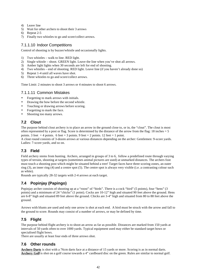- 4) Leave line
- 5) Wait for other archers to shoot their 3 arrows
- 6) Repeat 2-5
- 7) Finally two whistles to go and score/collect arrows.

### 7.1.1.10 Indoor Competitions

Control of shooting is by buzzer/whistle and occasionally lights.

- 1) Two whistles walk to line. RED light.
- 2) Single whistle shoot. GREEN light. Leave the line when you've shot all arrows.
- 3) Amber light lights when 30 seconds are left for end of shooting.
- 4) Two whistles end of shooting. RED light. Leave line (if you haven't already done so)
- 5) Repeat 1-4 until all waves have shot.
- 6) Three whistles to go and score/collect arrows.

Time Limit: 2 minutes to shoot 3 arrows or 4 minutes to shoot 6 arrows.

#### 7.1.1.11 Common Mistakes

- Forgetting to mark arrows with initials.
- Drawing the bow before the second whistle.
- Touching or drawing arrows before scoring.
- Forgetting to mark the face.
- Shooting too many arrows.

## **7.2 Clout**

The purpose behind clout archery is to place an arrow in the ground close to, or in, the "clout". The clout is most often represented by a post or flag. Score is determined by the distance of the arrow from the flag: 18 inches = 5 points. 3 feet  $= 4$  points. 6 feet  $= 3$  points. 9 feet  $= 2$  points. 12 feet  $= 1$  point.

A clout round consists of 3-dozen arrows at various distances depending on the archer: Gentlemen: 9-score yards. Ladies: 7-score yards, and so on.

## **7.3 Field**

Field archery stems from hunting. Archers, arranged in groups of 3 to 6, follow a predefined route through varying types of terrain, shooting at targets (sometimes animal pictures are used) at unmarked distances. The archers foot must touch a shooting post which might be situated behind a tree! Target faces have three scoring zones, an outer ring (3), an inner ring (4) and a centre spot (5). The centre spot is always very visible (i.e. a contrasting colour such as white).

Rounds are typically 28-32 targets with 2-4 arrows at each target.

## **7.4 Popinjay (Papingo)**

Popinjay archer consists of shooting up at a "roost" of "birds". There is a cock "bird" (5 points), four "hens" (3 points) and a minimum of 24 "chicks" (1 point). Cocks are 10-12" high and situated 90 feet above the ground. Hens are 6-8" high and situated 89 feet above the ground. Chicks are 3-4" high and situated from 80 to 88 feet above the ground.

Arrows with blunts are used and only one arrow is shot at each end. A bird must be struck with the arrow and fall to the ground to score. Rounds may consist of a number of arrows, or may be defined by time.

## **7.5 Flight**

The purpose behind flight archery is to shoot an arrow as far as possible. Distances are marked from 150 yards at intervals of 50 yards often to over 1000 yards. Typical equipment used may either be standard target bows or specialised flight bows.

There are usually at least four ends of three arrows shot.

#### **7.6 Other rounds**

**Archery Darts** is shot with a 76cm darts face at a distance of 15 yards or more. Scoring is as in normal darts. **Archery Golf** is shot on a golf course towards a 4" cardboard disc on the green. Rules are similar to normal golf.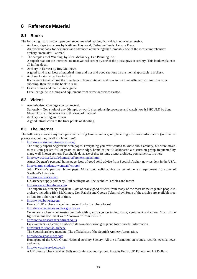## **8 Reference Material**

## **8.1 Books**

The following list is my own personal recommended reading list and is in no way extensive.

- Archery, steps to success by Kathleen Haywood, Catherine Lewis, Leisure Press. An excellent book for beginners and advanced archers together. Probably one of the most comprehensive archery "manuals" I've read.
- The Simple art of Winning by Rick McKinney, Leo Planning Inc. A superb read for the intermediate to advanced archer by one of the nicest guys in archery. This book explains it all in fine detail.
- Archery in Earnest by Roy Matthews A good solid read. Lots of practical hints and tips and good sections on the mental approach to archery.
- Archery Anatomy by Ray Axford If you want to know how the muscles and bones interact, and how to use them efficiently to improve your shooting, then this is the book to read.
- Easton tuning and maintenance guide Excellent guide to tuning and equipment from arrow-supremos Easton.

## **8.2 Videos**

- Any televised coverage you can record. Seriously – Get a hold of any Olympic or world championship coverage and watch how it SHOULD be done. Many clubs will have access to this kind of material.
- Archery refining your form A good introduction to the finer points of shooting.

## **8.3 The Internet**

The following sites are my own personal surfing haunts, and a good place to go for more information (in order of preference, but they're all my favourites!)

- http://www.student.utwente.nl/~sagi The simply superb Sagittarius web pages. Everything you ever wanted to know about archery, but were afraid to ask! Jam packed full of years of knowledge, home of the "Blackboard" a discussion group frequented by many well-known archers. Searchable database of discussions, usenet archives, you name it... it's here!
- http://www.dcs.ed.ac.uk/home/ajcd/archery/index.html Angus Duggan's personal home page. Lots of good solid advice from Scottish Archer, now resident in the USA.
- http://margo.student.utwente.nl/~stretch John Dickson's personal home page. More good solid advice on technique and equipment from one of Scotland's hot-shots.
- http://www.quicks.com
- UK archery supply company. Full catalogue on-line, technical articles and more! • http://www.archeryfocus.com The superb US archery magazine. Lots of really good articles from many of the most knowledgeable people in archery, including Rick McKinney, Don Rabska and George Tekmitchov. Some of the articles are available free on-line for a short period of time.
- http://www.bownet.com Home of UK archery magazine... second only to archery focus!
- http://www.centenaryarchers.gil.com.au Centenary archers – an Australian club with great pages on tuning, form, equipment and so on. Most of the figures in this document were "borrowed" from this site.
- http://www.linksarchers.ndirect.co.uk Links archers – a Scottish club with its own discussion group and lots of useful information. • http://surf.to/scottish-archery
- The Scottish archery magzine. The official site of the Scottish Archery Association.
- http://www.gnas.u-net.com Homepage of the UK's Grand National Archery Society. All the information on rounds, records, events, news and more.
- http://www.altservices.co.uk A UK based archery retailer. Sells most things at good prices. Accepts Euros, UK Pounds and US Dollars.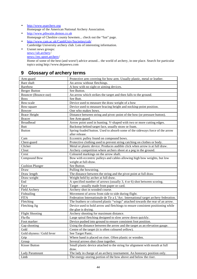• http://www.usarchery.org Homepage of the American National Archery Association.

- http://www.pthwaite.demon.co.uk Homepage of Cheshire county bowmen... check out the "fun" page.
- http://www.cam.ac.uk/CambUniv/Societies/cub/ Cambridge University archery club. Lots of interesting information.
- Usenet news groups: news://alt.archery/ news://rec.sport.archery/

Home of some of the best (and worst!) advice around... the world of archery, in one place. Search for particular topics using http://www.dejanews.com

## **9 Glossary of archery terms**

| Protective arm covering for bow-arm. Usually plastic, metal or leather.            |
|------------------------------------------------------------------------------------|
| An arrow without fletchings.                                                       |
| A bow with no sight or aiming devices.                                             |
| See Button.                                                                        |
| An arrow which strikes the target and then falls to the ground.                    |
| See Butt.                                                                          |
| Device used to measure the draw-weight of a bow                                    |
| Device used to measure bracing height and nocking-point position.                  |
| One who makes bows.                                                                |
| Distance between string and pivot-point of the bow (or pressure button).           |
| See Arm-guard.                                                                     |
| Arrow point used in hunting. V-shaped with two or more cutting edges.              |
| Backstop behind target face, usually straw or foam.                                |
| Spring-loaded button. Used to absorb some of the sideways force of the arrow       |
| after release.                                                                     |
| Eccentric pulley found on compound bows.                                           |
| Protective clothing used to prevent string catching on clothes or body.            |
| Metal or plastic device. Produces audible click when arrow is at full draw.        |
| Archery competition where archers shoot at a peg in the ground.                    |
| Coloured markings on the arrow shaft.                                              |
| Bow with eccentric pulleys and cables allowing high bow weights, but low           |
| weight at full-draw.                                                               |
| See Button.                                                                        |
| Pulling the bowstring.                                                             |
| The distance between the string and the pivot point at full draw.                  |
| Weight held by archer at full draw.                                                |
| A specified number of arrows (usually 3, 4 or 6) shot between scoring.             |
| Target – usually made from paper or card.                                          |
| Archery shot in wooded course.                                                     |
| Movement of arrow from side to side during flight.                                 |
| Federation Internationale de Tir a L'Arc. International target archery federation. |
| The feathers or coloured plastic "wings" attached towards the rear of an arrow.    |
| Device used to hold arrow and fletchings to ensure consistent positioning while    |
| the glue is drying.                                                                |
| Archery shooting for maximum distance.                                             |
| Large spiral fletching designed to slow arrow down quickly.                        |
| Device pushed into ground to ensure consistent foot position.                      |
| Using the distance between the arrow and the target as an elevation gauge.         |
| Centre of the target (it is often coloured yellow).                                |
| See Target Panic.                                                                  |
| Where hand is placed on riser. Often plastic or wooden.                            |
| Several arrows shot close together.                                                |
| Small plastic device attached to the string for alignment with mouth at full       |
|                                                                                    |
|                                                                                    |
| draw.<br>The lady in charge of an archery tournament. An honorary position only.   |
|                                                                                    |